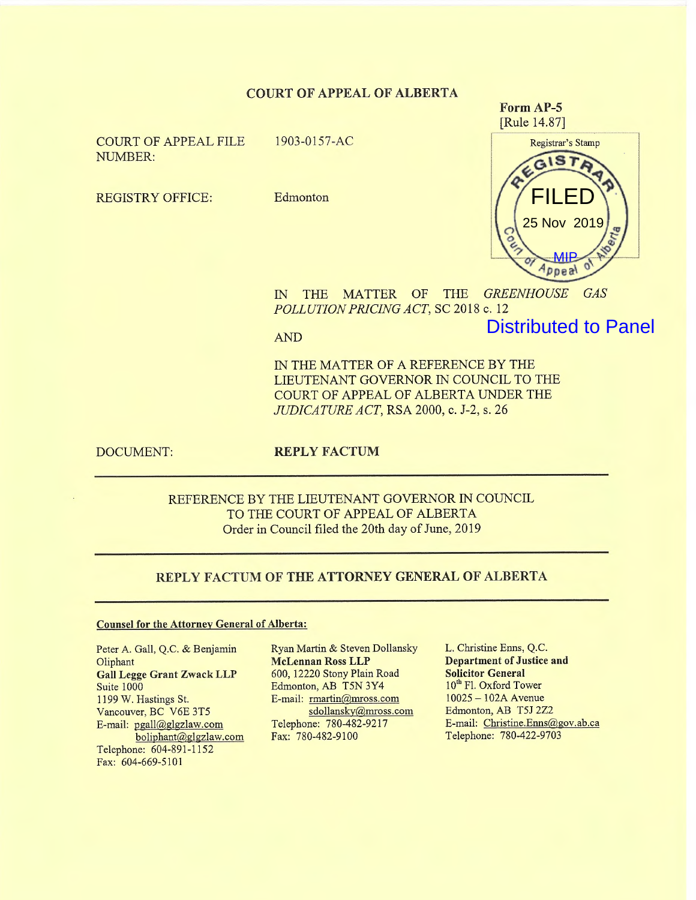### **COURT OF APPEAL OF ALBERTA**

**COURT OF APPEAL FILE** NUMBER:

1903-0157-AC

**REGISTRY OFFICE:** 

Edmonton



Form AP-5

MATTER OF THE **GREENHOUSE** GAS  $\mathbb{N}$ **THE** POLLUTION PRICING ACT, SC 2018 c. 12

Distributed to Panel

**AND** 

IN THE MATTER OF A REFERENCE BY THE LIEUTENANT GOVERNOR IN COUNCIL TO THE COURT OF APPEAL OF ALBERTA UNDER THE *JUDICATURE ACT*, RSA 2000, c. J-2, s. 26

DOCUMENT:

**REPLY FACTUM** 

REFERENCE BY THE LIEUTENANT GOVERNOR IN COUNCIL TO THE COURT OF APPEAL OF ALBERTA Order in Council filed the 20th day of June, 2019

### REPLY FACTUM OF THE ATTORNEY GENERAL OF ALBERTA

#### **Counsel for the Attorney General of Alberta:**

Peter A. Gall, Q.C. & Benjamin Oliphant **Gall Legge Grant Zwack LLP** Suite 1000 1199 W. Hastings St. Vancouver, BC V6E 3T5 E-mail: pgall@glgzlaw.com boliphant@glgzlaw.com Telephone: 604-891-1152 Fax: 604-669-5101

Ryan Martin & Steven Dollansky **McLennan Ross LLP** 600, 12220 Stony Plain Road Edmonton, AB T5N 3Y4 E-mail: rmartin@mross.com sdollansky@mross.com Telephone: 780-482-9217 Fax: 780-482-9100

L. Christine Enns, Q.C. **Department of Justice and Solicitor General** 10<sup>th</sup> Fl. Oxford Tower  $10025 - 102A$  Avenue Edmonton, AB T5J 2Z2 E-mail: Christine.Enns@gov.ab.ca Telephone: 780-422-9703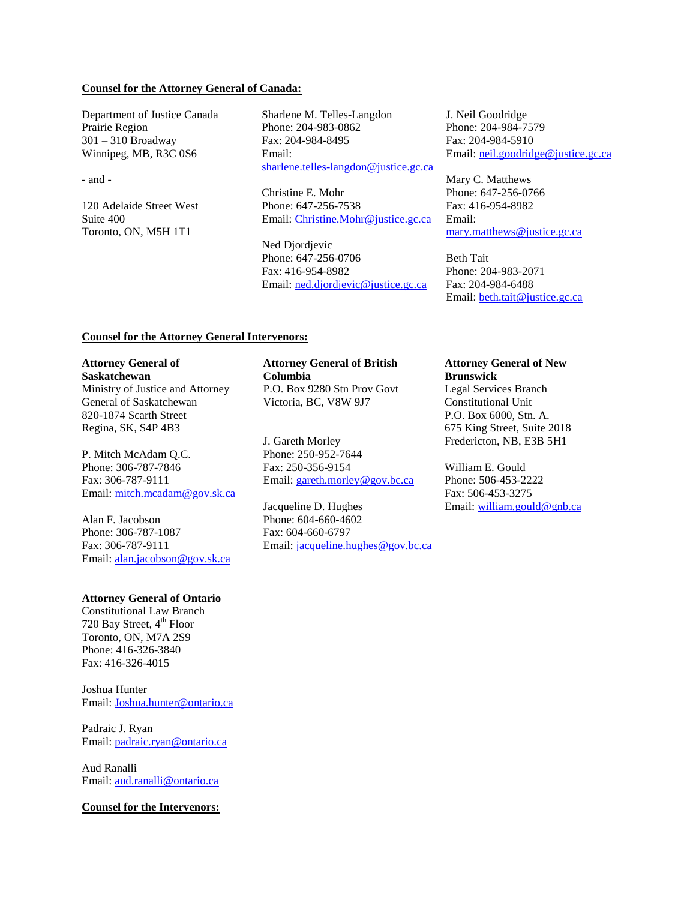#### **Counsel for the Attorney General of Canada:**

Department of Justice Canada Prairie Region 301 – 310 Broadway Winnipeg, MB, R3C 0S6

- and -

120 Adelaide Street West Suite 400 Toronto, ON, M5H 1T1

Sharlene M. Telles-Langdon Phone: 204-983-0862 Fax: 204-984-8495 Email: [sharlene.telles-langdon@justice.gc.ca](mailto:sharlene.telles-langdon@justice.gc.ca)

Christine E. Mohr Phone: 647-256-7538 Email: [Christine.Mohr@justice.gc.ca](mailto:Christine.Mohr@justice.gc.ca)

Ned Djordjevic Phone: 647-256-0706 Fax: 416-954-8982 Email: [ned.djordjevic@justice.gc.ca](mailto:ned.djordjevic@justice.gc.ca) J. Neil Goodridge Phone: 204-984-7579 Fax: 204-984-5910 Email: [neil.goodridge@justice.gc.ca](mailto:neil.goodridge@justice.gc.ca)

Mary C. Matthews Phone: 647-256-0766 Fax: 416-954-8982 Email: [mary.matthews@justice.gc.ca](mailto:mary.matthews@justice.gc.ca)

Beth Tait Phone: 204-983-2071 Fax: 204-984-6488 Email: [beth.tait@justice.gc.ca](mailto:beth.tait@justice.gc.ca) 

#### **Counsel for the Attorney General Intervenors:**

## **Attorney General of Saskatchewan** Ministry of Justice and Attorney General of Saskatchewan

820-1874 Scarth Street Regina, SK, S4P 4B3

P. Mitch McAdam Q.C. Phone: 306-787-7846 Fax: 306-787-9111 Email: [mitch.mcadam@gov.sk.ca](mailto:mitch.mcadam@gov.sk.ca)

Alan F. Jacobson Phone: 306-787-1087 Fax: 306-787-9111 Email: [alan.jacobson@gov.sk.ca](mailto:alan.jacobson@gov.sk.ca)

#### **Attorney General of Ontario**

Constitutional Law Branch 720 Bay Street, 4<sup>th</sup> Floor Toronto, ON, M7A 2S9 Phone: 416-326-3840 Fax: 416-326-4015

Joshua Hunter Email: [Joshua.hunter@ontario.ca](mailto:Joshua.hunter@ontario.ca)

Padraic J. Ryan Email: [padraic.ryan@ontario.ca](mailto:padraic.ryan@ontario.ca)

Aud Ranalli Email: [aud.ranalli@ontario.ca](mailto:aud.ranalli@ontario.ca)

#### **Counsel for the Intervenors:**

**Attorney General of British Columbia** P.O. Box 9280 Stn Prov Govt Victoria, BC, V8W 9J7

J. Gareth Morley Phone: 250-952-7644 Fax: 250-356-9154 Email: [gareth.morley@gov.bc.ca](mailto:gareth.morley@gov.bc.ca)

Jacqueline D. Hughes Phone: 604-660-4602 Fax: 604-660-6797 Email: [jacqueline.hughes@gov.bc.ca](mailto:jacqueline.hughes@gov.bc.ca)

# **Attorney General of New Brunswick**

Legal Services Branch Constitutional Unit P.O. Box 6000, Stn. A. 675 King Street, Suite 2018 Fredericton, NB, E3B 5H1

William E. Gould Phone: 506-453-2222 Fax: 506-453-3275 Email: [william.gould@gnb.ca](mailto:william.gould@gnb.ca)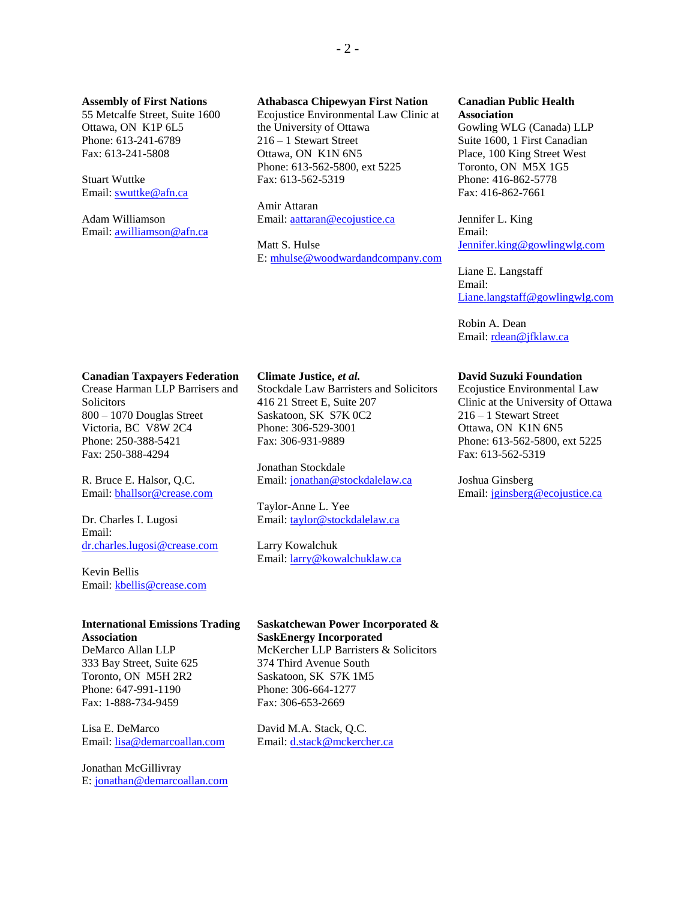#### **Assembly of First Nations**

55 Metcalfe Street, Suite 1600 Ottawa, ON K1P 6L5 Phone: 613-241-6789 Fax: 613-241-5808

### Stuart Wuttke Email: [swuttke@afn.ca](mailto:swuttke@afn.ca)

Adam Williamson Email: [awilliamson@afn.ca](mailto:awilliamson@afn.ca)

#### **Athabasca Chipewyan First Nation**

Ecojustice Environmental Law Clinic at the University of Ottawa 216 – 1 Stewart Street Ottawa, ON K1N 6N5 Phone: 613-562-5800, ext 5225 Fax: 613-562-5319

Amir Attaran Email: [aattaran@ecojustice.ca](mailto:aattaran@ecojustice.ca)

Matt S. Hulse E[: mhulse@woodwardandcompany.com](mailto:mhulse@woodwardandcompany.com)

#### **Canadian Public Health Association**

Gowling WLG (Canada) LLP Suite 1600, 1 First Canadian Place, 100 King Street West Toronto, ON M5X 1G5 Phone: 416-862-5778 Fax: 416-862-7661

Jennifer L. King Email: [Jennifer.king@gowlingwlg.com](mailto:Jennifer.king@gowlingwlg.com)

Liane E. Langstaff Email: [Liane.langstaff@gowlingwlg.com](mailto:Liane.langstaff@gowlingwlg.com)

Robin A. Dean Email: [rdean@jfklaw.ca](mailto:rdean@jfklaw.ca)

#### **Canadian Taxpayers Federation**

Crease Harman LLP Barrisers and Solicitors 800 – 1070 Douglas Street Victoria, BC V8W 2C4 Phone: 250-388-5421 Fax: 250-388-4294

R. Bruce E. Halsor, Q.C. Email: [bhallsor@crease.com](mailto:bhallsor@crease.com)

Dr. Charles I. Lugosi Email: [dr.charles.lugosi@crease.com](mailto:dr.charles.lugosi@crease.com)

Kevin Bellis Email: [kbellis@crease.com](mailto:kbellis@crease.com)

## **International Emissions Trading Association**

DeMarco Allan LLP 333 Bay Street, Suite 625 Toronto, ON M5H 2R2 Phone: 647-991-1190 Fax: 1-888-734-9459

Lisa E. DeMarco Email: [lisa@demarcoallan.com](mailto:lisa@demarcoallan.com)

Jonathan McGillivray E: [jonathan@demarcoallan.com](mailto:jonathan@demarcoallan.com)

## **Climate Justice,** *et al.*

Stockdale Law Barristers and Solicitors 416 21 Street E, Suite 207 Saskatoon, SK S7K 0C2 Phone: 306-529-3001 Fax: 306-931-9889

Jonathan Stockdale Email: [jonathan@stockdalelaw.ca](mailto:jonathan@stockdalelaw.ca)

Taylor-Anne L. Yee Email: [taylor@stockdalelaw.ca](mailto:taylor@stockdalelaw.ca)

Larry Kowalchuk Email: [larry@kowalchuklaw.ca](mailto:larry@kowalchuklaw.ca)

#### **Saskatchewan Power Incorporated & SaskEnergy Incorporated** McKercher LLP Barristers & Solicitors 374 Third Avenue South Saskatoon, SK S7K 1M5

Phone: 306-664-1277 Fax: 306-653-2669

David M.A. Stack, Q.C. Email: [d.stack@mckercher.ca](mailto:d.stack@mckercher.ca)

### **David Suzuki Foundation**

Ecojustice Environmental Law Clinic at the University of Ottawa 216 – 1 Stewart Street Ottawa, ON K1N 6N5 Phone: 613-562-5800, ext 5225 Fax: 613-562-5319

Joshua Ginsberg Email: [jginsberg@ecojustice.ca](mailto:jginsberg@ecojustice.ca)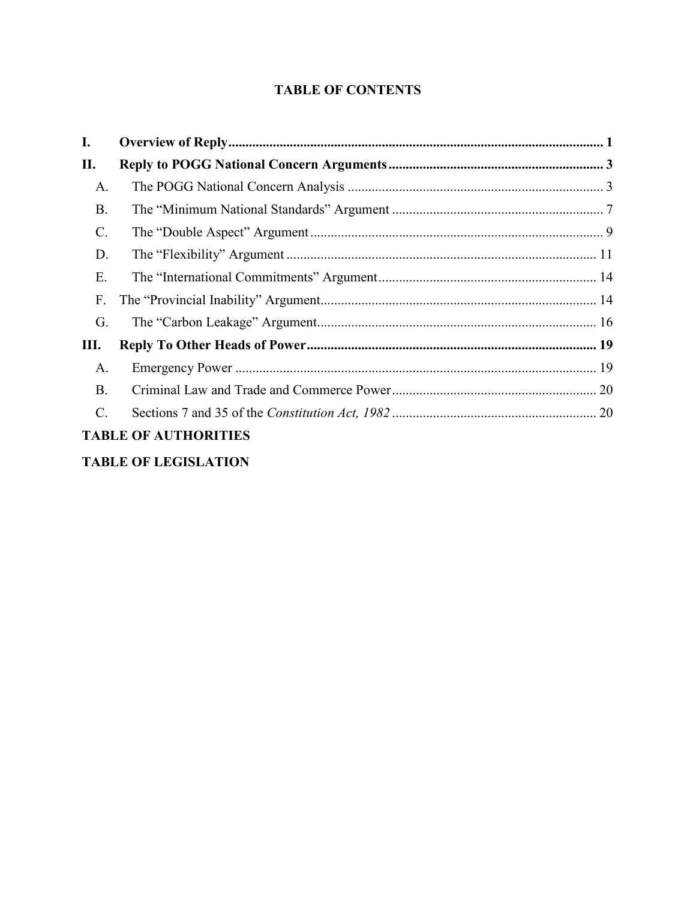# **TABLE OF CONTENTS**

| I.                          |  |  |  |
|-----------------------------|--|--|--|
| П.                          |  |  |  |
| A.                          |  |  |  |
| <b>B.</b>                   |  |  |  |
| C.                          |  |  |  |
| D.                          |  |  |  |
| E.                          |  |  |  |
| F.                          |  |  |  |
| G.                          |  |  |  |
| Ш.                          |  |  |  |
| A.                          |  |  |  |
| <b>B.</b>                   |  |  |  |
| $\mathcal{C}$ .             |  |  |  |
| <b>TABLE OF AUTHORITIES</b> |  |  |  |

# **TABLE OF LEGISLATION**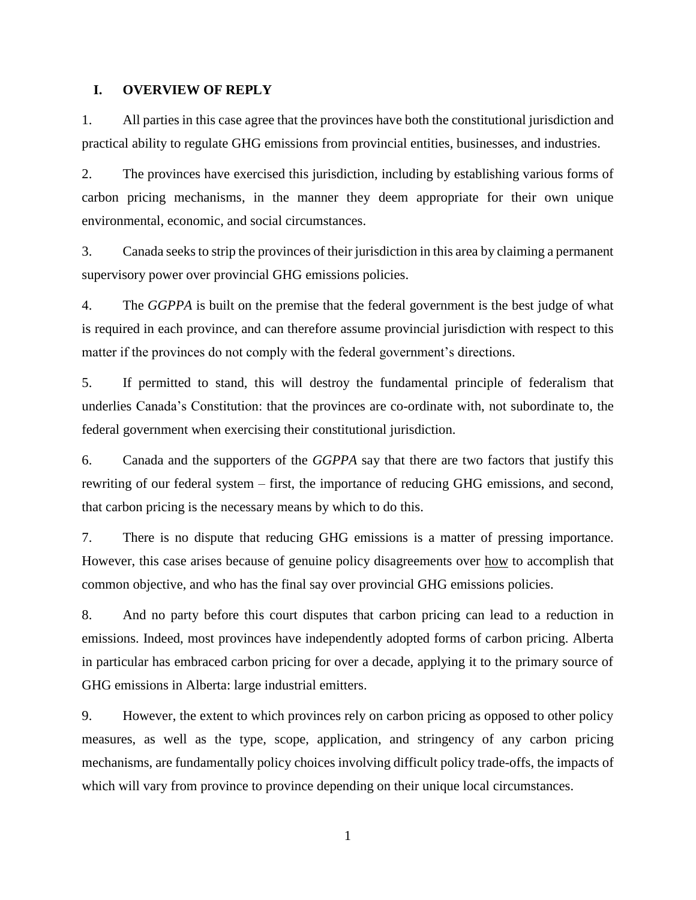### **I. OVERVIEW OF REPLY**

1. All parties in this case agree that the provinces have both the constitutional jurisdiction and practical ability to regulate GHG emissions from provincial entities, businesses, and industries.

2. The provinces have exercised this jurisdiction, including by establishing various forms of carbon pricing mechanisms, in the manner they deem appropriate for their own unique environmental, economic, and social circumstances.

3. Canada seeks to strip the provinces of their jurisdiction in this area by claiming a permanent supervisory power over provincial GHG emissions policies.

4. The *GGPPA* is built on the premise that the federal government is the best judge of what is required in each province, and can therefore assume provincial jurisdiction with respect to this matter if the provinces do not comply with the federal government's directions.

5. If permitted to stand, this will destroy the fundamental principle of federalism that underlies Canada's Constitution: that the provinces are co-ordinate with, not subordinate to, the federal government when exercising their constitutional jurisdiction.

6. Canada and the supporters of the *GGPPA* say that there are two factors that justify this rewriting of our federal system – first, the importance of reducing GHG emissions, and second, that carbon pricing is the necessary means by which to do this.

7. There is no dispute that reducing GHG emissions is a matter of pressing importance. However, this case arises because of genuine policy disagreements over how to accomplish that common objective, and who has the final say over provincial GHG emissions policies.

8. And no party before this court disputes that carbon pricing can lead to a reduction in emissions. Indeed, most provinces have independently adopted forms of carbon pricing. Alberta in particular has embraced carbon pricing for over a decade, applying it to the primary source of GHG emissions in Alberta: large industrial emitters.

9. However, the extent to which provinces rely on carbon pricing as opposed to other policy measures, as well as the type, scope, application, and stringency of any carbon pricing mechanisms, are fundamentally policy choices involving difficult policy trade-offs, the impacts of which will vary from province to province depending on their unique local circumstances.

1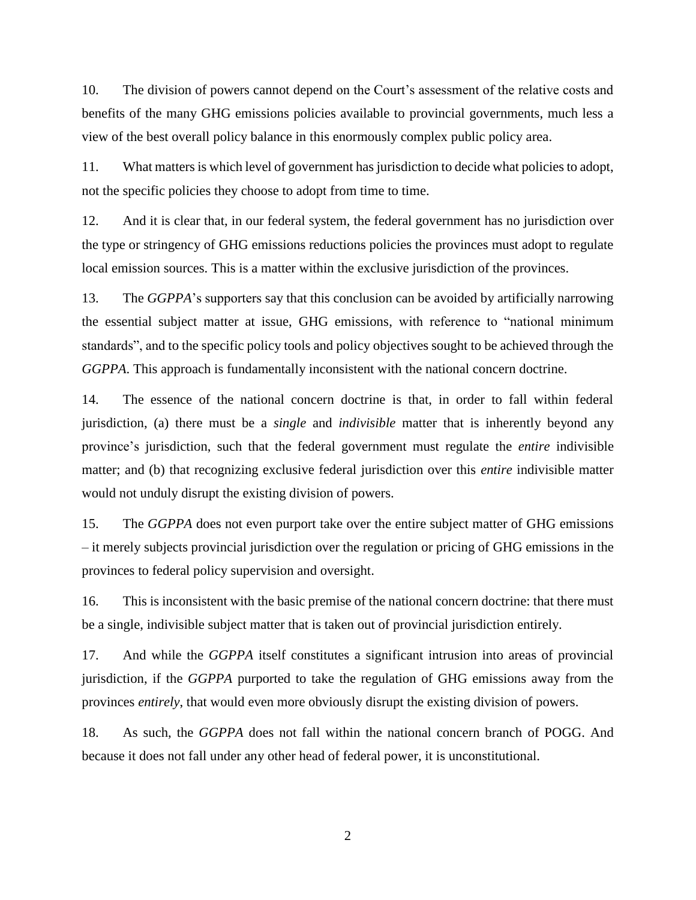10. The division of powers cannot depend on the Court's assessment of the relative costs and benefits of the many GHG emissions policies available to provincial governments, much less a view of the best overall policy balance in this enormously complex public policy area.

11. What matters is which level of government has jurisdiction to decide what policies to adopt, not the specific policies they choose to adopt from time to time.

12. And it is clear that, in our federal system, the federal government has no jurisdiction over the type or stringency of GHG emissions reductions policies the provinces must adopt to regulate local emission sources. This is a matter within the exclusive jurisdiction of the provinces.

13. The *GGPPA*'s supporters say that this conclusion can be avoided by artificially narrowing the essential subject matter at issue, GHG emissions, with reference to "national minimum standards", and to the specific policy tools and policy objectives sought to be achieved through the *GGPPA*. This approach is fundamentally inconsistent with the national concern doctrine.

14. The essence of the national concern doctrine is that, in order to fall within federal jurisdiction, (a) there must be a *single* and *indivisible* matter that is inherently beyond any province's jurisdiction, such that the federal government must regulate the *entire* indivisible matter; and (b) that recognizing exclusive federal jurisdiction over this *entire* indivisible matter would not unduly disrupt the existing division of powers.

15. The *GGPPA* does not even purport take over the entire subject matter of GHG emissions – it merely subjects provincial jurisdiction over the regulation or pricing of GHG emissions in the provinces to federal policy supervision and oversight.

16. This is inconsistent with the basic premise of the national concern doctrine: that there must be a single, indivisible subject matter that is taken out of provincial jurisdiction entirely.

17. And while the *GGPPA* itself constitutes a significant intrusion into areas of provincial jurisdiction, if the *GGPPA* purported to take the regulation of GHG emissions away from the provinces *entirely*, that would even more obviously disrupt the existing division of powers.

18. As such, the *GGPPA* does not fall within the national concern branch of POGG. And because it does not fall under any other head of federal power, it is unconstitutional.

2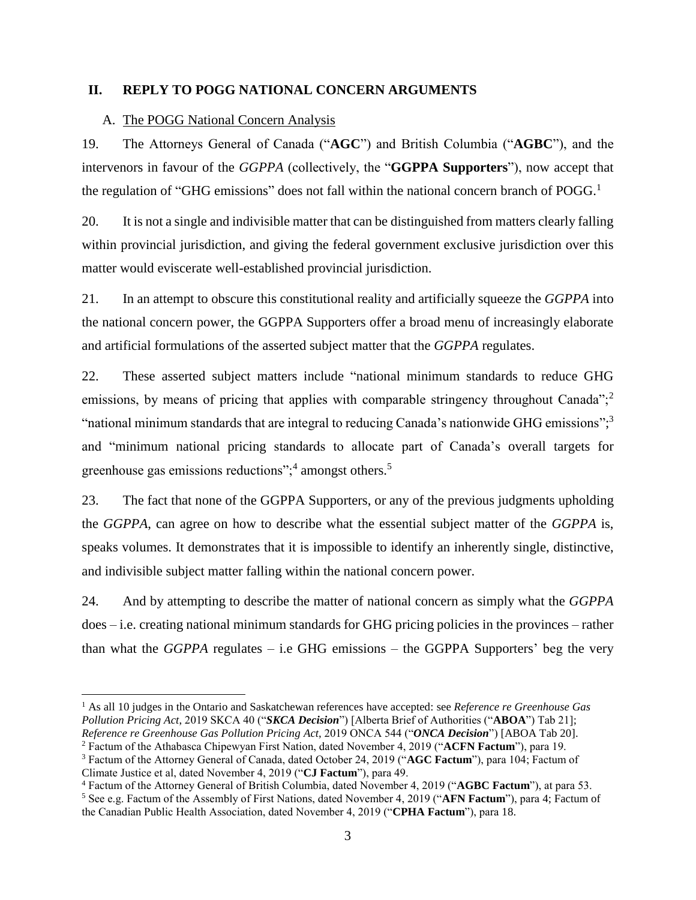### **II. REPLY TO POGG NATIONAL CONCERN ARGUMENTS**

### A. The POGG National Concern Analysis

19. The Attorneys General of Canada ("**AGC**") and British Columbia ("**AGBC**"), and the intervenors in favour of the *GGPPA* (collectively, the "**GGPPA Supporters**"), now accept that the regulation of "GHG emissions" does not fall within the national concern branch of  $POGG$ .

20. It is not a single and indivisible matter that can be distinguished from matters clearly falling within provincial jurisdiction, and giving the federal government exclusive jurisdiction over this matter would eviscerate well-established provincial jurisdiction.

21. In an attempt to obscure this constitutional reality and artificially squeeze the *GGPPA* into the national concern power, the GGPPA Supporters offer a broad menu of increasingly elaborate and artificial formulations of the asserted subject matter that the *GGPPA* regulates.

22. These asserted subject matters include "national minimum standards to reduce GHG emissions, by means of pricing that applies with comparable stringency throughout Canada";  $2^{\circ}$ "national minimum standards that are integral to reducing Canada's nationwide GHG emissions";<sup>3</sup> and "minimum national pricing standards to allocate part of Canada's overall targets for greenhouse gas emissions reductions";<sup>4</sup> amongst others.<sup>5</sup>

23. The fact that none of the GGPPA Supporters, or any of the previous judgments upholding the *GGPPA*, can agree on how to describe what the essential subject matter of the *GGPPA* is, speaks volumes. It demonstrates that it is impossible to identify an inherently single, distinctive, and indivisible subject matter falling within the national concern power.

24. And by attempting to describe the matter of national concern as simply what the *GGPPA* does – i.e. creating national minimum standards for GHG pricing policies in the provinces – rather than what the *GGPPA* regulates – i.e GHG emissions – the GGPPA Supporters' beg the very

Climate Justice et al, dated November 4, 2019 ("**CJ Factum**"), para 49.

<sup>1</sup> As all 10 judges in the Ontario and Saskatchewan references have accepted: see *Reference re Greenhouse Gas Pollution Pricing Act*, 2019 SKCA 40 ("*SKCA Decision*") [Alberta Brief of Authorities ("**ABOA**") Tab 21]; *Reference re Greenhouse Gas Pollution Pricing Act*, 2019 ONCA 544 ("*ONCA Decision*") [ABOA Tab 20].

<sup>2</sup> Factum of the Athabasca Chipewyan First Nation, dated November 4, 2019 ("**ACFN Factum**"), para 19. <sup>3</sup> Factum of the Attorney General of Canada, dated October 24, 2019 ("**AGC Factum**"), para 104; Factum of

<sup>4</sup> Factum of the Attorney General of British Columbia, dated November 4, 2019 ("**AGBC Factum**"), at para 53.

<sup>5</sup> See e.g. Factum of the Assembly of First Nations, dated November 4, 2019 ("**AFN Factum**"), para 4; Factum of the Canadian Public Health Association, dated November 4, 2019 ("**CPHA Factum**"), para 18.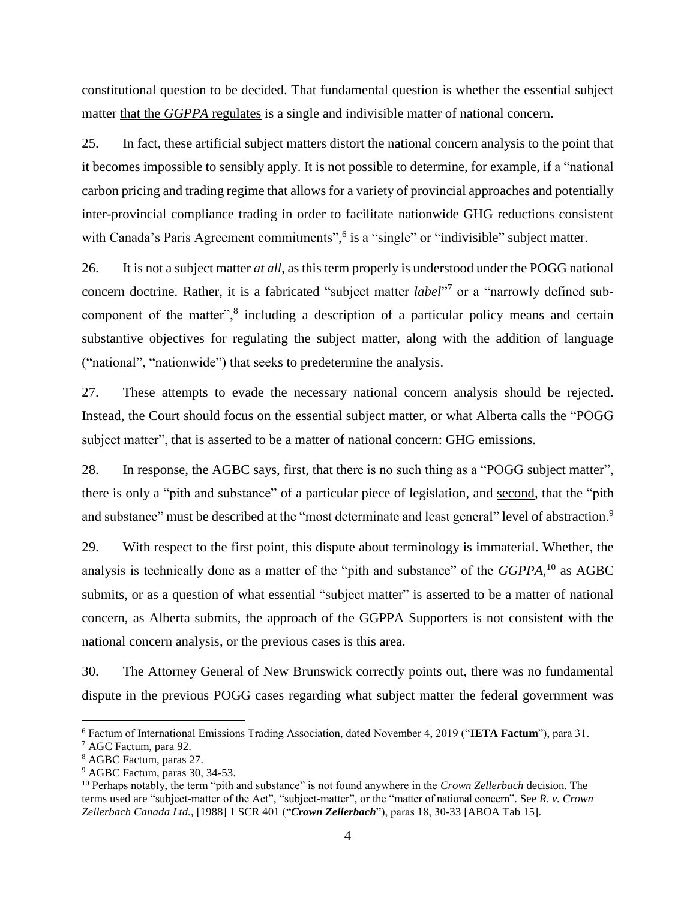constitutional question to be decided. That fundamental question is whether the essential subject matter that the *GGPPA* regulates is a single and indivisible matter of national concern.

25. In fact, these artificial subject matters distort the national concern analysis to the point that it becomes impossible to sensibly apply. It is not possible to determine, for example, if a "national carbon pricing and trading regime that allows for a variety of provincial approaches and potentially inter-provincial compliance trading in order to facilitate nationwide GHG reductions consistent with Canada's Paris Agreement commitments", <sup>6</sup> is a "single" or "indivisible" subject matter.

26. It is not a subject matter *at all*, as this term properly is understood under the POGG national concern doctrine. Rather, it is a fabricated "subject matter *label*"<sup>7</sup> or a "narrowly defined subcomponent of the matter",<sup>8</sup> including a description of a particular policy means and certain substantive objectives for regulating the subject matter, along with the addition of language ("national", "nationwide") that seeks to predetermine the analysis.

27. These attempts to evade the necessary national concern analysis should be rejected. Instead, the Court should focus on the essential subject matter, or what Alberta calls the "POGG subject matter", that is asserted to be a matter of national concern: GHG emissions.

28. In response, the AGBC says, first, that there is no such thing as a "POGG subject matter", there is only a "pith and substance" of a particular piece of legislation, and second, that the "pith and substance" must be described at the "most determinate and least general" level of abstraction.<sup>9</sup>

29. With respect to the first point, this dispute about terminology is immaterial. Whether, the analysis is technically done as a matter of the "pith and substance" of the *GGPPA*, <sup>10</sup> as AGBC submits, or as a question of what essential "subject matter" is asserted to be a matter of national concern, as Alberta submits, the approach of the GGPPA Supporters is not consistent with the national concern analysis, or the previous cases is this area.

30. The Attorney General of New Brunswick correctly points out, there was no fundamental dispute in the previous POGG cases regarding what subject matter the federal government was

<sup>6</sup> Factum of International Emissions Trading Association, dated November 4, 2019 ("**IETA Factum**"), para 31.

<sup>7</sup> AGC Factum, para 92.

<sup>8</sup> AGBC Factum, paras 27.

<sup>9</sup> AGBC Factum, paras 30, 34-53.

<sup>10</sup> Perhaps notably, the term "pith and substance" is not found anywhere in the *Crown Zellerbach* decision. The terms used are "subject-matter of the Act", "subject-matter", or the "matter of national concern". See *R. v. Crown Zellerbach Canada Ltd.*, [1988] 1 SCR 401 ("*Crown Zellerbach*"), paras 18, 30-33 [ABOA Tab 15].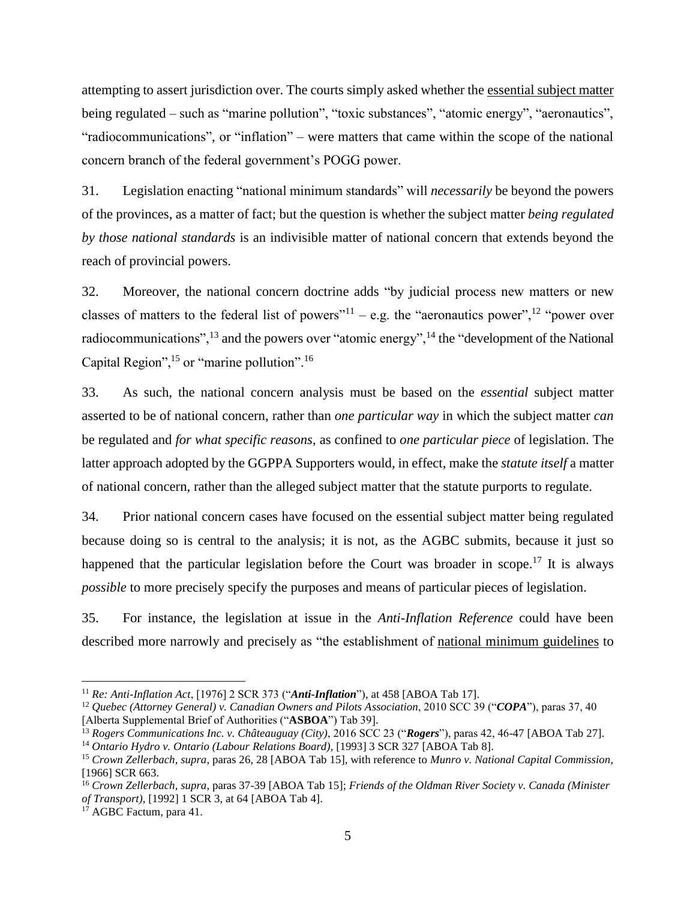attempting to assert jurisdiction over. The courts simply asked whether the essential subject matter being regulated – such as "marine pollution", "toxic substances", "atomic energy", "aeronautics", "radiocommunications", or "inflation" – were matters that came within the scope of the national concern branch of the federal government's POGG power.

31. Legislation enacting "national minimum standards" will *necessarily* be beyond the powers of the provinces, as a matter of fact; but the question is whether the subject matter *being regulated by those national standards* is an indivisible matter of national concern that extends beyond the reach of provincial powers.

32. Moreover, the national concern doctrine adds "by judicial process new matters or new classes of matters to the federal list of powers"<sup>11</sup> – e.g. the "aeronautics power",<sup>12</sup> "power over radiocommunications",  $^{13}$  and the powers over "atomic energy",  $^{14}$  the "development of the National Capital Region",<sup>15</sup> or "marine pollution".<sup>16</sup>

33. As such, the national concern analysis must be based on the *essential* subject matter asserted to be of national concern, rather than *one particular way* in which the subject matter *can* be regulated and *for what specific reasons*, as confined to *one particular piece* of legislation. The latter approach adopted by the GGPPA Supporters would, in effect, make the *statute itself* a matter of national concern, rather than the alleged subject matter that the statute purports to regulate.

34. Prior national concern cases have focused on the essential subject matter being regulated because doing so is central to the analysis; it is not, as the AGBC submits, because it just so happened that the particular legislation before the Court was broader in scope.<sup>17</sup> It is always *possible* to more precisely specify the purposes and means of particular pieces of legislation.

35. For instance, the legislation at issue in the *Anti-Inflation Reference* could have been described more narrowly and precisely as "the establishment of national minimum guidelines to

<sup>11</sup> *Re: Anti-Inflation Act*, [1976] 2 SCR 373 ("*Anti-Inflation*"), at 458 [ABOA Tab 17].

<sup>12</sup> *Quebec (Attorney General) v. Canadian Owners and Pilots Association*, 2010 SCC 39 ("*COPA*"), paras 37, 40 [Alberta Supplemental Brief of Authorities ("**ASBOA**") Tab 39].

<sup>13</sup> *Rogers Communications Inc. v. Châteauguay (City)*, 2016 SCC 23 ("*Rogers*"), paras 42, 46-47 [ABOA Tab 27].

<sup>14</sup> *Ontario Hydro v. Ontario (Labour Relations Board)*, [1993] 3 SCR 327 [ABOA Tab 8].

<sup>15</sup> *Crown Zellerbach, supra*, paras 26, 28 [ABOA Tab 15], with reference to *Munro v. National Capital Commission*, [1966] SCR 663.

<sup>16</sup> *Crown Zellerbach, supra*, paras 37-39 [ABOA Tab 15]; *Friends of the Oldman River Society v. Canada (Minister of Transport)*, [1992] 1 SCR 3, at 64 [ABOA Tab 4].

<sup>&</sup>lt;sup>17</sup> AGBC Factum, para 41.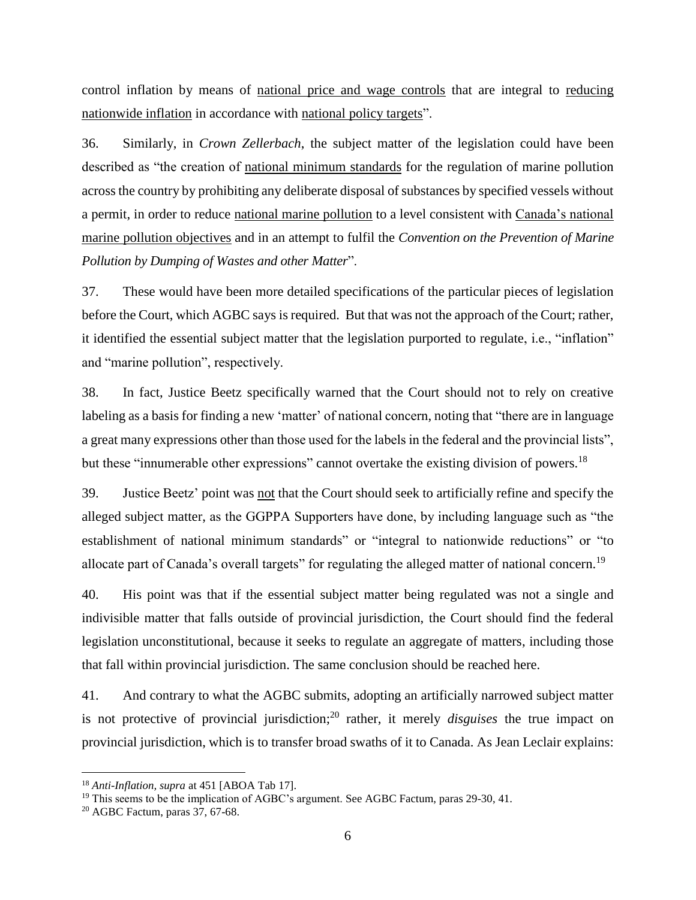control inflation by means of national price and wage controls that are integral to reducing nationwide inflation in accordance with national policy targets".

36. Similarly, in *Crown Zellerbach*, the subject matter of the legislation could have been described as "the creation of national minimum standards for the regulation of marine pollution across the country by prohibiting any deliberate disposal of substances by specified vessels without a permit, in order to reduce national marine pollution to a level consistent with Canada's national marine pollution objectives and in an attempt to fulfil the *Convention on the Prevention of Marine Pollution by Dumping of Wastes and other Matter*".

37. These would have been more detailed specifications of the particular pieces of legislation before the Court, which AGBC says is required. But that was not the approach of the Court; rather, it identified the essential subject matter that the legislation purported to regulate, i.e., "inflation" and "marine pollution", respectively.

38. In fact, Justice Beetz specifically warned that the Court should not to rely on creative labeling as a basis for finding a new 'matter' of national concern, noting that "there are in language a great many expressions other than those used for the labels in the federal and the provincial lists", but these "innumerable other expressions" cannot overtake the existing division of powers.<sup>18</sup>

39. Justice Beetz' point was not that the Court should seek to artificially refine and specify the alleged subject matter, as the GGPPA Supporters have done, by including language such as "the establishment of national minimum standards" or "integral to nationwide reductions" or "to allocate part of Canada's overall targets" for regulating the alleged matter of national concern.<sup>19</sup>

40. His point was that if the essential subject matter being regulated was not a single and indivisible matter that falls outside of provincial jurisdiction, the Court should find the federal legislation unconstitutional, because it seeks to regulate an aggregate of matters, including those that fall within provincial jurisdiction. The same conclusion should be reached here.

41. And contrary to what the AGBC submits, adopting an artificially narrowed subject matter is not protective of provincial jurisdiction;<sup>20</sup> rather, it merely *disguises* the true impact on provincial jurisdiction, which is to transfer broad swaths of it to Canada. As Jean Leclair explains:

<sup>18</sup> *Anti-Inflation, supra* at 451 [ABOA Tab 17].

<sup>&</sup>lt;sup>19</sup> This seems to be the implication of AGBC's argument. See AGBC Factum, paras 29-30, 41.

<sup>20</sup> AGBC Factum, paras 37, 67-68.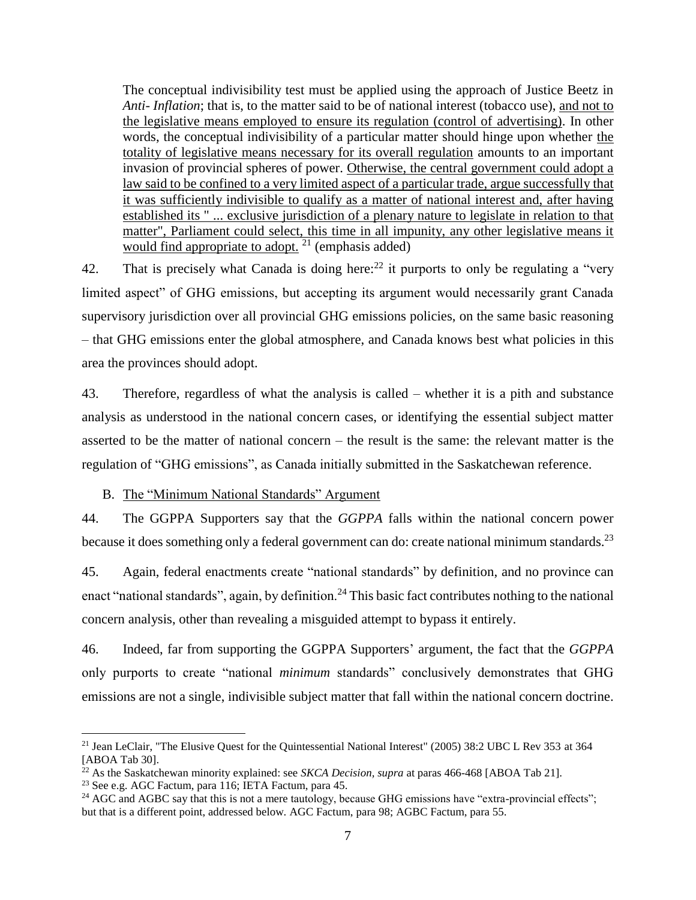The conceptual indivisibility test must be applied using the approach of Justice Beetz in *Anti- Inflation*; that is, to the matter said to be of national interest (tobacco use), and not to the legislative means employed to ensure its regulation (control of advertising). In other words, the conceptual indivisibility of a particular matter should hinge upon whether the totality of legislative means necessary for its overall regulation amounts to an important invasion of provincial spheres of power. Otherwise, the central government could adopt a law said to be confined to a very limited aspect of a particular trade, argue successfully that it was sufficiently indivisible to qualify as a matter of national interest and, after having established its " ... exclusive jurisdiction of a plenary nature to legislate in relation to that matter", Parliament could select, this time in all impunity, any other legislative means it would find appropriate to adopt.  $21$  (emphasis added)

42. That is precisely what Canada is doing here:  $22$  it purports to only be regulating a "very limited aspect" of GHG emissions, but accepting its argument would necessarily grant Canada supervisory jurisdiction over all provincial GHG emissions policies, on the same basic reasoning – that GHG emissions enter the global atmosphere, and Canada knows best what policies in this area the provinces should adopt.

43. Therefore, regardless of what the analysis is called – whether it is a pith and substance analysis as understood in the national concern cases, or identifying the essential subject matter asserted to be the matter of national concern – the result is the same: the relevant matter is the regulation of "GHG emissions", as Canada initially submitted in the Saskatchewan reference.

B. The "Minimum National Standards" Argument

44. The GGPPA Supporters say that the *GGPPA* falls within the national concern power because it does something only a federal government can do: create national minimum standards.<sup>23</sup>

45. Again, federal enactments create "national standards" by definition, and no province can enact "national standards", again, by definition.<sup>24</sup> This basic fact contributes nothing to the national concern analysis, other than revealing a misguided attempt to bypass it entirely.

46. Indeed, far from supporting the GGPPA Supporters' argument, the fact that the *GGPPA* only purports to create "national *minimum* standards" conclusively demonstrates that GHG emissions are not a single, indivisible subject matter that fall within the national concern doctrine.

<sup>&</sup>lt;sup>21</sup> Jean LeClair, "The Elusive Quest for the Quintessential National Interest" (2005) 38:2 UBC L Rev 353 at 364 [ABOA Tab 30].

 $^{22}$  As the Saskatchewan minority explained: see *SKCA Decision, supra* at paras 466-468 [ABOA Tab 21].

<sup>23</sup> See e.g. AGC Factum, para 116; IETA Factum, para 45.

<sup>&</sup>lt;sup>24</sup> AGC and AGBC say that this is not a mere tautology, because GHG emissions have "extra-provincial effects"; but that is a different point, addressed below. AGC Factum, para 98; AGBC Factum, para 55.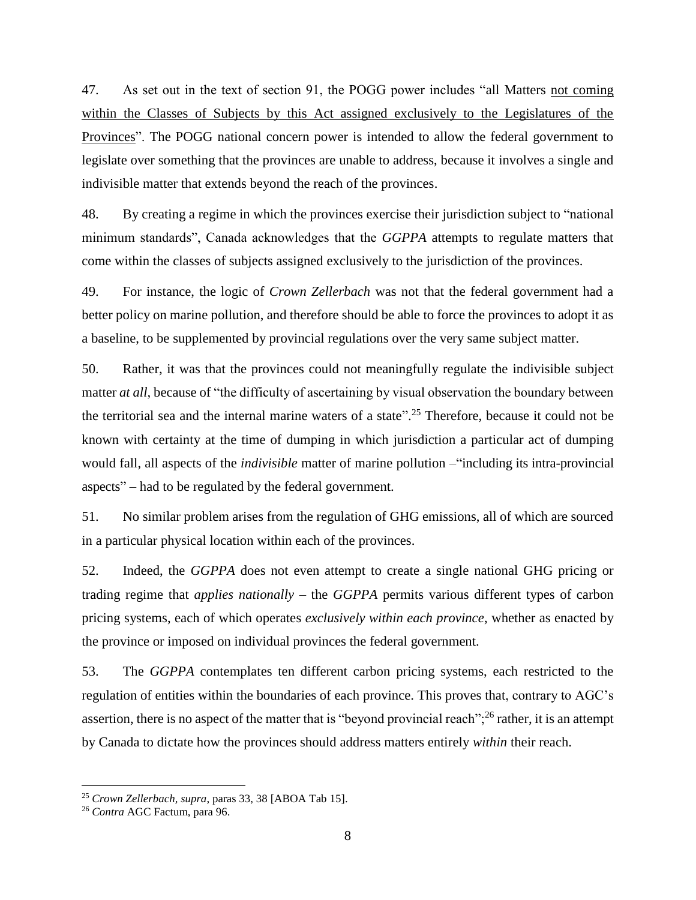47. As set out in the text of section 91, the POGG power includes "all Matters not coming within the Classes of Subjects by this Act assigned exclusively to the Legislatures of the Provinces". The POGG national concern power is intended to allow the federal government to legislate over something that the provinces are unable to address, because it involves a single and indivisible matter that extends beyond the reach of the provinces.

48. By creating a regime in which the provinces exercise their jurisdiction subject to "national minimum standards", Canada acknowledges that the *GGPPA* attempts to regulate matters that come within the classes of subjects assigned exclusively to the jurisdiction of the provinces.

49. For instance, the logic of *Crown Zellerbach* was not that the federal government had a better policy on marine pollution, and therefore should be able to force the provinces to adopt it as a baseline, to be supplemented by provincial regulations over the very same subject matter.

50. Rather, it was that the provinces could not meaningfully regulate the indivisible subject matter *at all*, because of "the difficulty of ascertaining by visual observation the boundary between the territorial sea and the internal marine waters of a state". <sup>25</sup> Therefore, because it could not be known with certainty at the time of dumping in which jurisdiction a particular act of dumping would fall, all aspects of the *indivisible* matter of marine pollution –"including its intra-provincial aspects" – had to be regulated by the federal government.

51. No similar problem arises from the regulation of GHG emissions, all of which are sourced in a particular physical location within each of the provinces.

52. Indeed, the *GGPPA* does not even attempt to create a single national GHG pricing or trading regime that *applies nationally* – the *GGPPA* permits various different types of carbon pricing systems, each of which operates *exclusively within each province*, whether as enacted by the province or imposed on individual provinces the federal government.

53. The *GGPPA* contemplates ten different carbon pricing systems, each restricted to the regulation of entities within the boundaries of each province. This proves that, contrary to AGC's assertion, there is no aspect of the matter that is "beyond provincial reach";<sup>26</sup> rather, it is an attempt by Canada to dictate how the provinces should address matters entirely *within* their reach.

<sup>25</sup> *Crown Zellerbach, supra*, paras 33, 38 [ABOA Tab 15].

<sup>26</sup> *Contra* AGC Factum, para 96.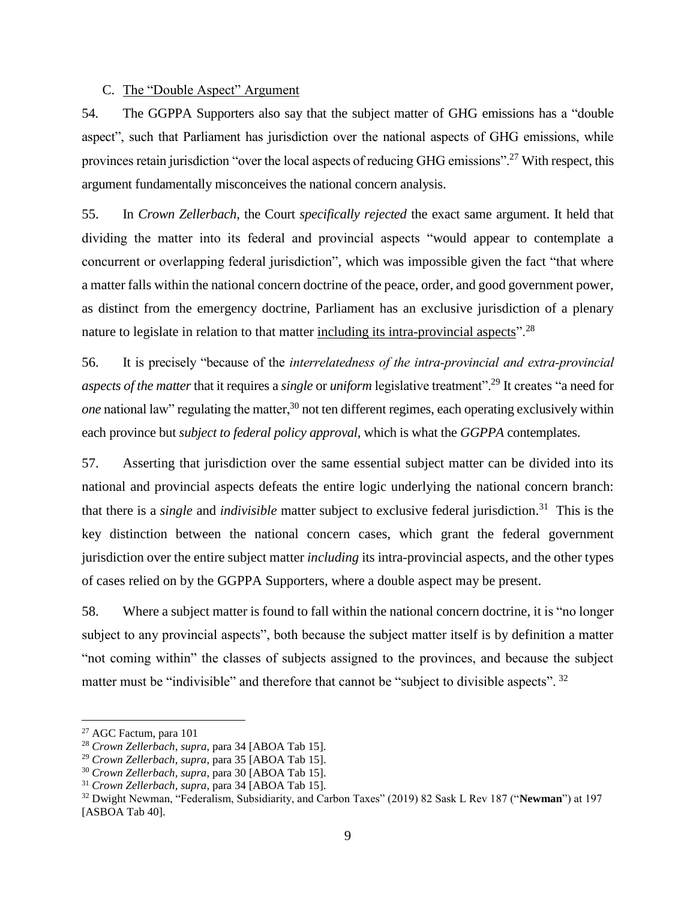### C. The "Double Aspect" Argument

54. The GGPPA Supporters also say that the subject matter of GHG emissions has a "double aspect", such that Parliament has jurisdiction over the national aspects of GHG emissions, while provinces retain jurisdiction "over the local aspects of reducing GHG emissions".<sup>27</sup> With respect, this argument fundamentally misconceives the national concern analysis.

55. In *Crown Zellerbach*, the Court *specifically rejected* the exact same argument. It held that dividing the matter into its federal and provincial aspects "would appear to contemplate a concurrent or overlapping federal jurisdiction", which was impossible given the fact "that where a matter falls within the national concern doctrine of the peace, order, and good government power, as distinct from the emergency doctrine, Parliament has an exclusive jurisdiction of a plenary nature to legislate in relation to that matter including its intra-provincial aspects".<sup>28</sup>

56. It is precisely "because of the *interrelatedness of the intra‑provincial and extra‑provincial aspects of the matter* that it requires a *single* or *uniform* legislative treatment".<sup>29</sup> It creates "a need for *one* national law" regulating the matter,<sup>30</sup> not ten different regimes, each operating exclusively within each province but *subject to federal policy approval*, which is what the *GGPPA* contemplates.

57. Asserting that jurisdiction over the same essential subject matter can be divided into its national and provincial aspects defeats the entire logic underlying the national concern branch: that there is a *single* and *indivisible* matter subject to exclusive federal jurisdiction.<sup>31</sup> This is the key distinction between the national concern cases, which grant the federal government jurisdiction over the entire subject matter *including* its intra-provincial aspects, and the other types of cases relied on by the GGPPA Supporters, where a double aspect may be present.

58. Where a subject matter is found to fall within the national concern doctrine, it is "no longer subject to any provincial aspects", both because the subject matter itself is by definition a matter "not coming within" the classes of subjects assigned to the provinces, and because the subject matter must be "indivisible" and therefore that cannot be "subject to divisible aspects". <sup>32</sup>

<sup>27</sup> AGC Factum, para 101

<sup>28</sup> *Crown Zellerbach*, *supra*, para 34 [ABOA Tab 15].

<sup>29</sup> *Crown Zellerbach, supra*, para 35 [ABOA Tab 15].

<sup>30</sup> *Crown Zellerbach, supra*, para 30 [ABOA Tab 15].

<sup>31</sup> *Crown Zellerbach, supra*, para 34 [ABOA Tab 15].

<sup>32</sup> Dwight Newman, "Federalism, Subsidiarity, and Carbon Taxes" (2019) 82 Sask L Rev 187 ("**Newman**") at 197 [ASBOA Tab 40].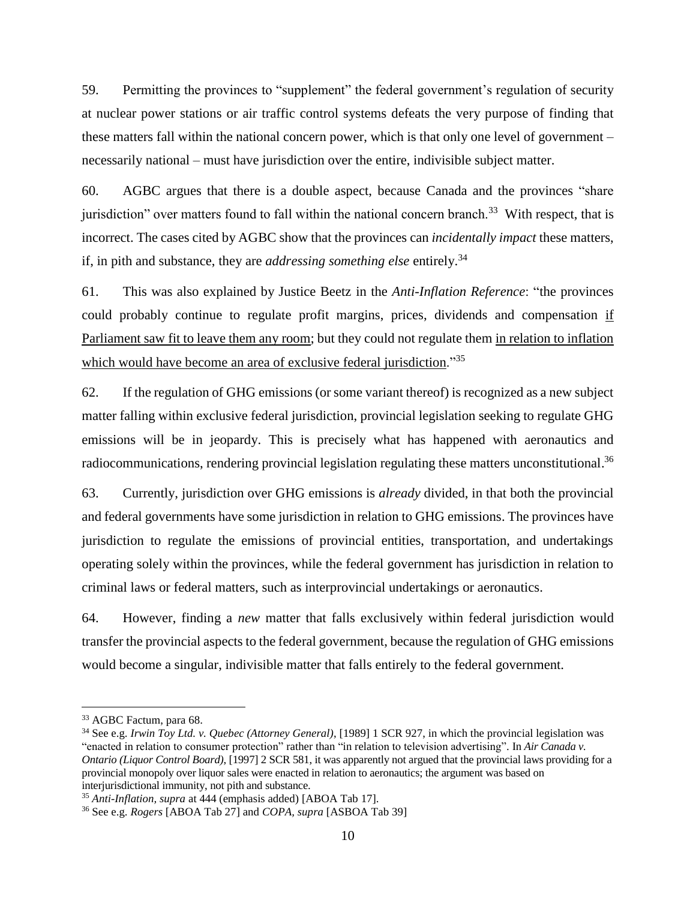59. Permitting the provinces to "supplement" the federal government's regulation of security at nuclear power stations or air traffic control systems defeats the very purpose of finding that these matters fall within the national concern power, which is that only one level of government – necessarily national – must have jurisdiction over the entire, indivisible subject matter.

60. AGBC argues that there is a double aspect, because Canada and the provinces "share jurisdiction" over matters found to fall within the national concern branch.<sup>33</sup> With respect, that is incorrect. The cases cited by AGBC show that the provinces can *incidentally impact* these matters, if, in pith and substance, they are *addressing something else* entirely.<sup>34</sup>

61. This was also explained by Justice Beetz in the *Anti-Inflation Reference*: "the provinces could probably continue to regulate profit margins, prices, dividends and compensation if Parliament saw fit to leave them any room; but they could not regulate them in relation to inflation which would have become an area of exclusive federal jurisdiction."<sup>35</sup>

62. If the regulation of GHG emissions (or some variant thereof) is recognized as a new subject matter falling within exclusive federal jurisdiction, provincial legislation seeking to regulate GHG emissions will be in jeopardy. This is precisely what has happened with aeronautics and radiocommunications, rendering provincial legislation regulating these matters unconstitutional.<sup>36</sup>

63. Currently, jurisdiction over GHG emissions is *already* divided, in that both the provincial and federal governments have some jurisdiction in relation to GHG emissions. The provinces have jurisdiction to regulate the emissions of provincial entities, transportation, and undertakings operating solely within the provinces, while the federal government has jurisdiction in relation to criminal laws or federal matters, such as interprovincial undertakings or aeronautics.

64. However, finding a *new* matter that falls exclusively within federal jurisdiction would transfer the provincial aspects to the federal government, because the regulation of GHG emissions would become a singular, indivisible matter that falls entirely to the federal government.

<sup>33</sup> AGBC Factum, para 68.

<sup>34</sup> See e.g. *Irwin Toy Ltd. v. Quebec (Attorney General)*, [1989] 1 SCR 927, in which the provincial legislation was "enacted in relation to consumer protection" rather than "in relation to television advertising". In *Air Canada v. Ontario (Liquor Control Board)*, [1997] 2 SCR 581, it was apparently not argued that the provincial laws providing for a provincial monopoly over liquor sales were enacted in relation to aeronautics; the argument was based on interjurisdictional immunity, not pith and substance.

<sup>35</sup> *Anti-Inflation, supra* at 444 (emphasis added) [ABOA Tab 17].

<sup>36</sup> See e.g. *Rogers* [ABOA Tab 27] and *COPA, supra* [ASBOA Tab 39]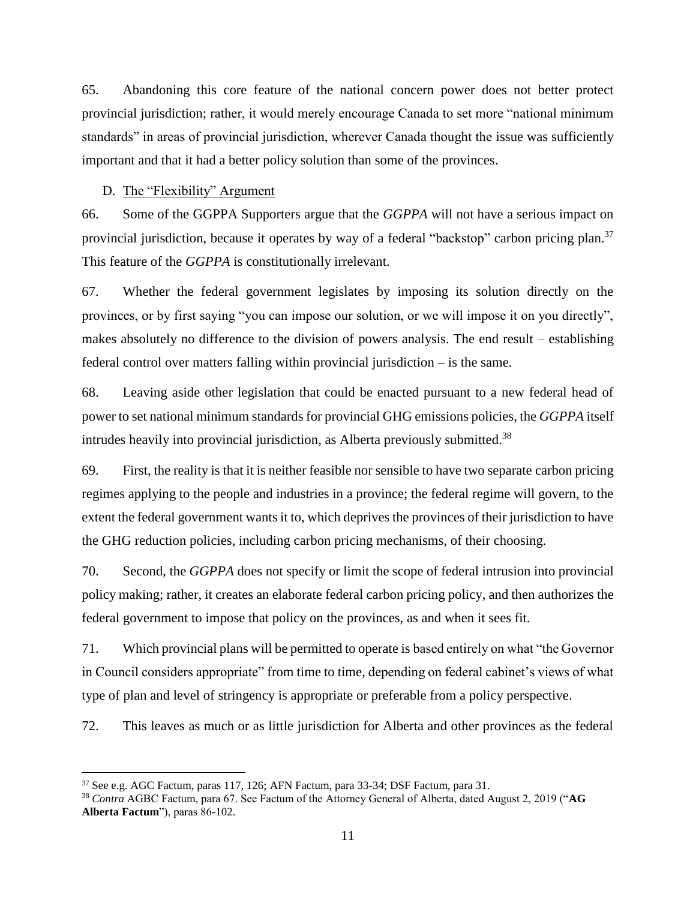65. Abandoning this core feature of the national concern power does not better protect provincial jurisdiction; rather, it would merely encourage Canada to set more "national minimum standards" in areas of provincial jurisdiction, wherever Canada thought the issue was sufficiently important and that it had a better policy solution than some of the provinces.

## D. The "Flexibility" Argument

66. Some of the GGPPA Supporters argue that the *GGPPA* will not have a serious impact on provincial jurisdiction, because it operates by way of a federal "backstop" carbon pricing plan.<sup>37</sup> This feature of the *GGPPA* is constitutionally irrelevant.

67. Whether the federal government legislates by imposing its solution directly on the provinces, or by first saying "you can impose our solution, or we will impose it on you directly", makes absolutely no difference to the division of powers analysis. The end result – establishing federal control over matters falling within provincial jurisdiction – is the same.

68. Leaving aside other legislation that could be enacted pursuant to a new federal head of power to set national minimum standards for provincial GHG emissions policies, the *GGPPA* itself intrudes heavily into provincial jurisdiction, as Alberta previously submitted.<sup>38</sup>

69. First, the reality is that it is neither feasible nor sensible to have two separate carbon pricing regimes applying to the people and industries in a province; the federal regime will govern, to the extent the federal government wants it to, which deprives the provinces of their jurisdiction to have the GHG reduction policies, including carbon pricing mechanisms, of their choosing.

70. Second, the *GGPPA* does not specify or limit the scope of federal intrusion into provincial policy making; rather, it creates an elaborate federal carbon pricing policy, and then authorizes the federal government to impose that policy on the provinces, as and when it sees fit.

71. Which provincial plans will be permitted to operate is based entirely on what "the Governor in Council considers appropriate" from time to time, depending on federal cabinet's views of what type of plan and level of stringency is appropriate or preferable from a policy perspective.

72. This leaves as much or as little jurisdiction for Alberta and other provinces as the federal

<sup>37</sup> See e.g. AGC Factum, paras 117, 126; AFN Factum, para 33-34; DSF Factum, para 31.

<sup>38</sup> *Contra* AGBC Factum, para 67. See Factum of the Attorney General of Alberta, dated August 2, 2019 ("**AG Alberta Factum**"), paras 86-102.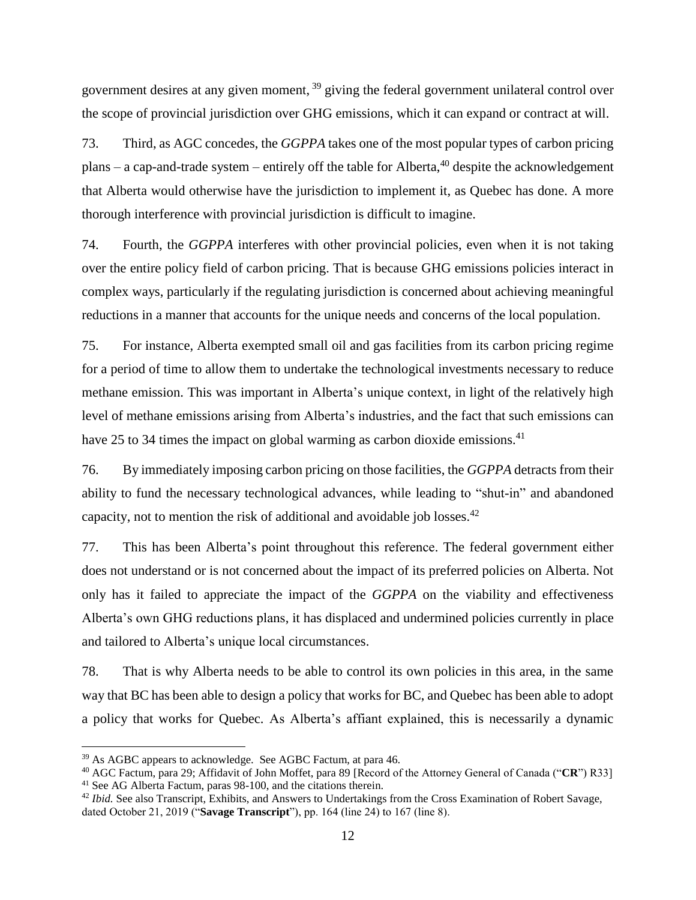government desires at any given moment, <sup>39</sup> giving the federal government unilateral control over the scope of provincial jurisdiction over GHG emissions, which it can expand or contract at will.

73. Third, as AGC concedes, the *GGPPA* takes one of the most popular types of carbon pricing plans – a cap-and-trade system – entirely off the table for Alberta,  $40$  despite the acknowledgement that Alberta would otherwise have the jurisdiction to implement it, as Quebec has done. A more thorough interference with provincial jurisdiction is difficult to imagine.

74. Fourth, the *GGPPA* interferes with other provincial policies, even when it is not taking over the entire policy field of carbon pricing. That is because GHG emissions policies interact in complex ways, particularly if the regulating jurisdiction is concerned about achieving meaningful reductions in a manner that accounts for the unique needs and concerns of the local population.

75. For instance, Alberta exempted small oil and gas facilities from its carbon pricing regime for a period of time to allow them to undertake the technological investments necessary to reduce methane emission. This was important in Alberta's unique context, in light of the relatively high level of methane emissions arising from Alberta's industries, and the fact that such emissions can have 25 to 34 times the impact on global warming as carbon dioxide emissions.<sup>41</sup>

76. By immediately imposing carbon pricing on those facilities, the *GGPPA* detracts from their ability to fund the necessary technological advances, while leading to "shut-in" and abandoned capacity, not to mention the risk of additional and avoidable job losses.<sup>42</sup>

77. This has been Alberta's point throughout this reference. The federal government either does not understand or is not concerned about the impact of its preferred policies on Alberta. Not only has it failed to appreciate the impact of the *GGPPA* on the viability and effectiveness Alberta's own GHG reductions plans, it has displaced and undermined policies currently in place and tailored to Alberta's unique local circumstances.

78. That is why Alberta needs to be able to control its own policies in this area, in the same way that BC has been able to design a policy that works for BC, and Quebec has been able to adopt a policy that works for Quebec. As Alberta's affiant explained, this is necessarily a dynamic

<sup>&</sup>lt;sup>39</sup> As AGBC appears to acknowledge. See AGBC Factum, at para 46.

<sup>40</sup> AGC Factum, para 29; Affidavit of John Moffet, para 89 [Record of the Attorney General of Canada ("**CR**") R33] <sup>41</sup> See AG Alberta Factum, paras 98-100, and the citations therein.

<sup>42</sup> *Ibid.* See also Transcript, Exhibits, and Answers to Undertakings from the Cross Examination of Robert Savage, dated October 21, 2019 ("**Savage Transcript**"), pp. 164 (line 24) to 167 (line 8).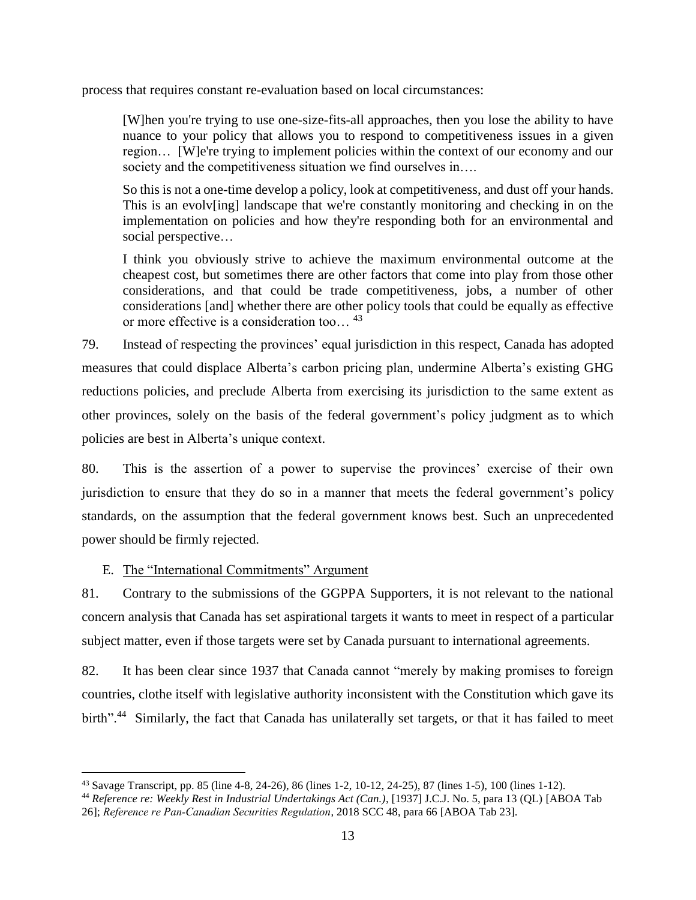process that requires constant re-evaluation based on local circumstances:

[W]hen you're trying to use one-size-fits-all approaches, then you lose the ability to have nuance to your policy that allows you to respond to competitiveness issues in a given region… [W]e're trying to implement policies within the context of our economy and our society and the competitiveness situation we find ourselves in....

So this is not a one-time develop a policy, look at competitiveness, and dust off your hands. This is an evolv[ing] landscape that we're constantly monitoring and checking in on the implementation on policies and how they're responding both for an environmental and social perspective…

I think you obviously strive to achieve the maximum environmental outcome at the cheapest cost, but sometimes there are other factors that come into play from those other considerations, and that could be trade competitiveness, jobs, a number of other considerations [and] whether there are other policy tools that could be equally as effective or more effective is a consideration too...<sup>43</sup>

79. Instead of respecting the provinces' equal jurisdiction in this respect, Canada has adopted measures that could displace Alberta's carbon pricing plan, undermine Alberta's existing GHG reductions policies, and preclude Alberta from exercising its jurisdiction to the same extent as other provinces, solely on the basis of the federal government's policy judgment as to which policies are best in Alberta's unique context.

80. This is the assertion of a power to supervise the provinces' exercise of their own jurisdiction to ensure that they do so in a manner that meets the federal government's policy standards, on the assumption that the federal government knows best. Such an unprecedented power should be firmly rejected.

## E. The "International Commitments" Argument

 $\overline{a}$ 

81. Contrary to the submissions of the GGPPA Supporters, it is not relevant to the national concern analysis that Canada has set aspirational targets it wants to meet in respect of a particular subject matter, even if those targets were set by Canada pursuant to international agreements.

82. It has been clear since 1937 that Canada cannot "merely by making promises to foreign countries, clothe itself with legislative authority inconsistent with the Constitution which gave its birth"<sup>.44</sup> Similarly, the fact that Canada has unilaterally set targets, or that it has failed to meet

<sup>43</sup> Savage Transcript, pp. 85 (line 4-8, 24-26), 86 (lines 1-2, 10-12, 24-25), 87 (lines 1-5), 100 (lines 1-12).

<sup>44</sup> *Reference re: Weekly Rest in Industrial Undertakings Act (Can.)*, [1937] J.C.J. No. 5, para 13 (QL) [ABOA Tab 26]; *Reference re Pan‐Canadian Securities Regulation*, 2018 SCC 48, para 66 [ABOA Tab 23].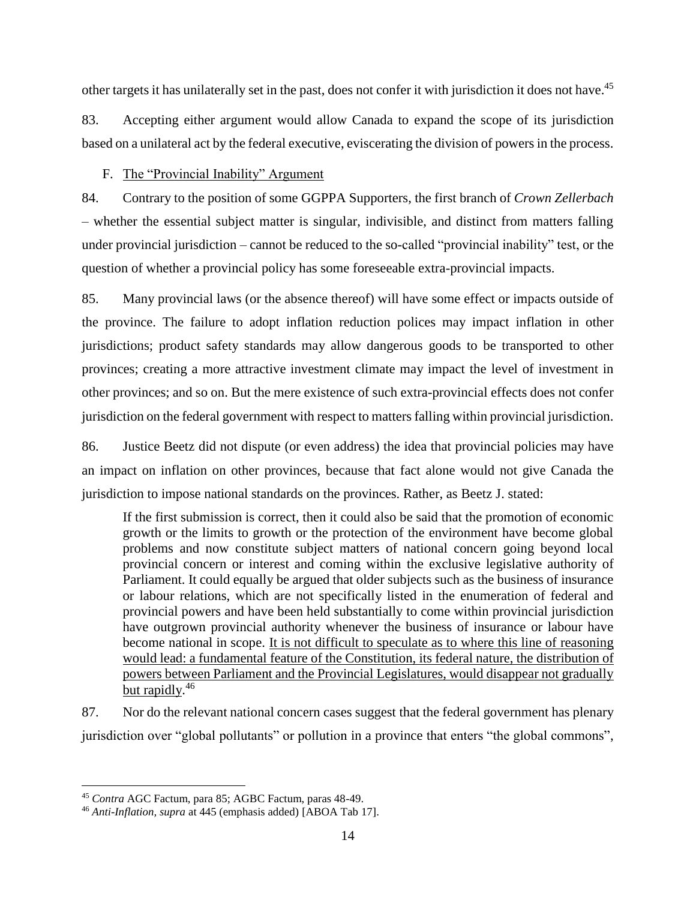other targets it has unilaterally set in the past, does not confer it with jurisdiction it does not have.<sup>45</sup>

83. Accepting either argument would allow Canada to expand the scope of its jurisdiction based on a unilateral act by the federal executive, eviscerating the division of powers in the process.

## F. The "Provincial Inability" Argument

84. Contrary to the position of some GGPPA Supporters, the first branch of *Crown Zellerbach* – whether the essential subject matter is singular, indivisible, and distinct from matters falling under provincial jurisdiction – cannot be reduced to the so-called "provincial inability" test, or the question of whether a provincial policy has some foreseeable extra-provincial impacts.

85. Many provincial laws (or the absence thereof) will have some effect or impacts outside of the province. The failure to adopt inflation reduction polices may impact inflation in other jurisdictions; product safety standards may allow dangerous goods to be transported to other provinces; creating a more attractive investment climate may impact the level of investment in other provinces; and so on. But the mere existence of such extra-provincial effects does not confer jurisdiction on the federal government with respect to matters falling within provincial jurisdiction.

86. Justice Beetz did not dispute (or even address) the idea that provincial policies may have an impact on inflation on other provinces, because that fact alone would not give Canada the jurisdiction to impose national standards on the provinces. Rather, as Beetz J. stated:

If the first submission is correct, then it could also be said that the promotion of economic growth or the limits to growth or the protection of the environment have become global problems and now constitute subject matters of national concern going beyond local provincial concern or interest and coming within the exclusive legislative authority of Parliament. It could equally be argued that older subjects such as the business of insurance or labour relations, which are not specifically listed in the enumeration of federal and provincial powers and have been held substantially to come within provincial jurisdiction have outgrown provincial authority whenever the business of insurance or labour have become national in scope. It is not difficult to speculate as to where this line of reasoning would lead: a fundamental feature of the Constitution, its federal nature, the distribution of powers between Parliament and the Provincial Legislatures, would disappear not gradually but rapidly.<sup>46</sup>

87. Nor do the relevant national concern cases suggest that the federal government has plenary jurisdiction over "global pollutants" or pollution in a province that enters "the global commons",

<sup>45</sup> *Contra* AGC Factum, para 85; AGBC Factum, paras 48-49.

<sup>46</sup> *Anti-Inflation, supra* at 445 (emphasis added) [ABOA Tab 17].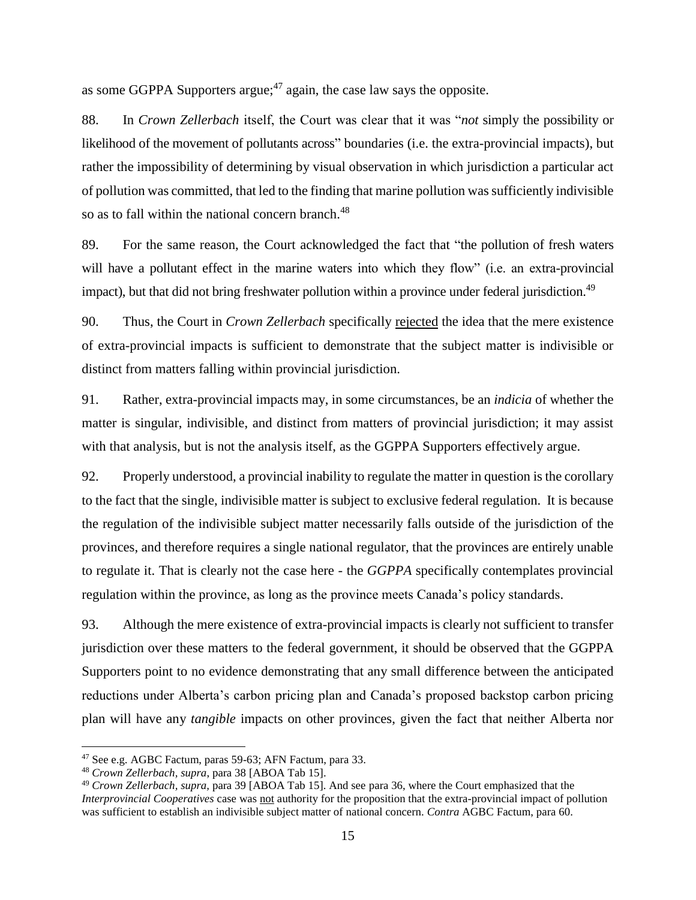as some GGPPA Supporters argue; $47$  again, the case law says the opposite.

88. In *Crown Zellerbach* itself, the Court was clear that it was "*not* simply the possibility or likelihood of the movement of pollutants across" boundaries (i.e. the extra-provincial impacts), but rather the impossibility of determining by visual observation in which jurisdiction a particular act of pollution was committed, that led to the finding that marine pollution was sufficiently indivisible so as to fall within the national concern branch.<sup>48</sup>

89. For the same reason, the Court acknowledged the fact that "the pollution of fresh waters will have a pollutant effect in the marine waters into which they flow" (i.e. an extra-provincial impact), but that did not bring freshwater pollution within a province under federal jurisdiction.<sup>49</sup>

90. Thus, the Court in *Crown Zellerbach* specifically rejected the idea that the mere existence of extra-provincial impacts is sufficient to demonstrate that the subject matter is indivisible or distinct from matters falling within provincial jurisdiction.

91. Rather, extra-provincial impacts may, in some circumstances, be an *indicia* of whether the matter is singular, indivisible, and distinct from matters of provincial jurisdiction; it may assist with that analysis, but is not the analysis itself, as the GGPPA Supporters effectively argue.

92. Properly understood, a provincial inability to regulate the matter in question is the corollary to the fact that the single, indivisible matter is subject to exclusive federal regulation. It is because the regulation of the indivisible subject matter necessarily falls outside of the jurisdiction of the provinces, and therefore requires a single national regulator, that the provinces are entirely unable to regulate it. That is clearly not the case here - the *GGPPA* specifically contemplates provincial regulation within the province, as long as the province meets Canada's policy standards.

93. Although the mere existence of extra-provincial impacts is clearly not sufficient to transfer jurisdiction over these matters to the federal government, it should be observed that the GGPPA Supporters point to no evidence demonstrating that any small difference between the anticipated reductions under Alberta's carbon pricing plan and Canada's proposed backstop carbon pricing plan will have any *tangible* impacts on other provinces, given the fact that neither Alberta nor

<sup>47</sup> See e.g. AGBC Factum, paras 59-63; AFN Factum, para 33.

<sup>48</sup> *Crown Zellerbach, supra*, para 38 [ABOA Tab 15].

<sup>49</sup> *Crown Zellerbach, supra,* para 39 [ABOA Tab 15]. And see para 36, where the Court emphasized that the *Interprovincial Cooperatives* case was not authority for the proposition that the extra-provincial impact of pollution was sufficient to establish an indivisible subject matter of national concern. *Contra* AGBC Factum, para 60.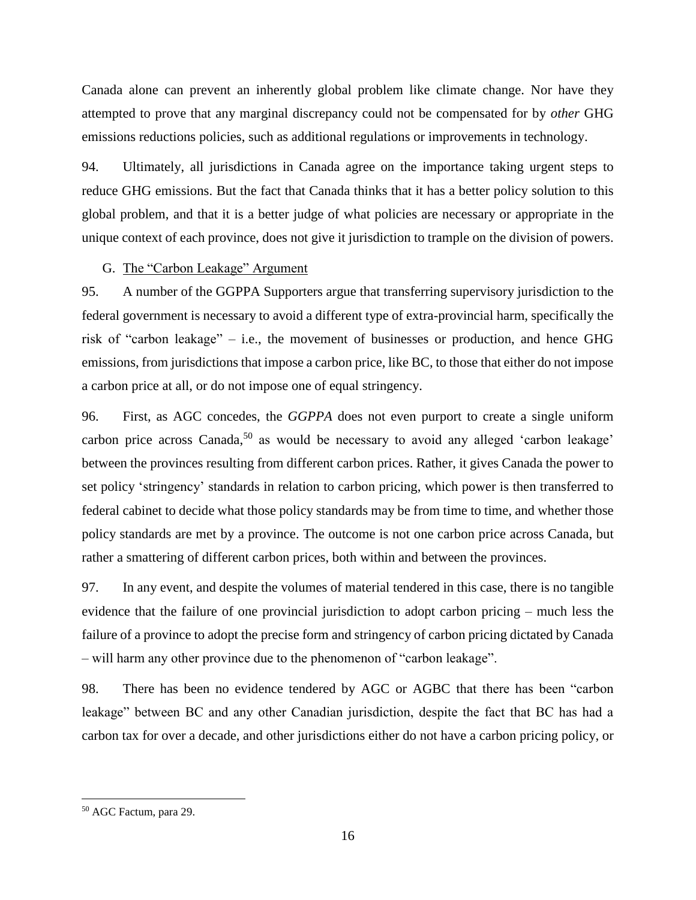Canada alone can prevent an inherently global problem like climate change. Nor have they attempted to prove that any marginal discrepancy could not be compensated for by *other* GHG emissions reductions policies, such as additional regulations or improvements in technology.

94. Ultimately, all jurisdictions in Canada agree on the importance taking urgent steps to reduce GHG emissions. But the fact that Canada thinks that it has a better policy solution to this global problem, and that it is a better judge of what policies are necessary or appropriate in the unique context of each province, does not give it jurisdiction to trample on the division of powers.

## G. The "Carbon Leakage" Argument

95. A number of the GGPPA Supporters argue that transferring supervisory jurisdiction to the federal government is necessary to avoid a different type of extra-provincial harm, specifically the risk of "carbon leakage" – i.e., the movement of businesses or production, and hence GHG emissions, from jurisdictions that impose a carbon price, like BC, to those that either do not impose a carbon price at all, or do not impose one of equal stringency.

96. First, as AGC concedes, the *GGPPA* does not even purport to create a single uniform carbon price across Canada,<sup>50</sup> as would be necessary to avoid any alleged 'carbon leakage' between the provinces resulting from different carbon prices. Rather, it gives Canada the power to set policy 'stringency' standards in relation to carbon pricing, which power is then transferred to federal cabinet to decide what those policy standards may be from time to time, and whether those policy standards are met by a province. The outcome is not one carbon price across Canada, but rather a smattering of different carbon prices, both within and between the provinces.

97. In any event, and despite the volumes of material tendered in this case, there is no tangible evidence that the failure of one provincial jurisdiction to adopt carbon pricing – much less the failure of a province to adopt the precise form and stringency of carbon pricing dictated by Canada – will harm any other province due to the phenomenon of "carbon leakage".

98. There has been no evidence tendered by AGC or AGBC that there has been "carbon leakage" between BC and any other Canadian jurisdiction, despite the fact that BC has had a carbon tax for over a decade, and other jurisdictions either do not have a carbon pricing policy, or

<sup>50</sup> AGC Factum, para 29.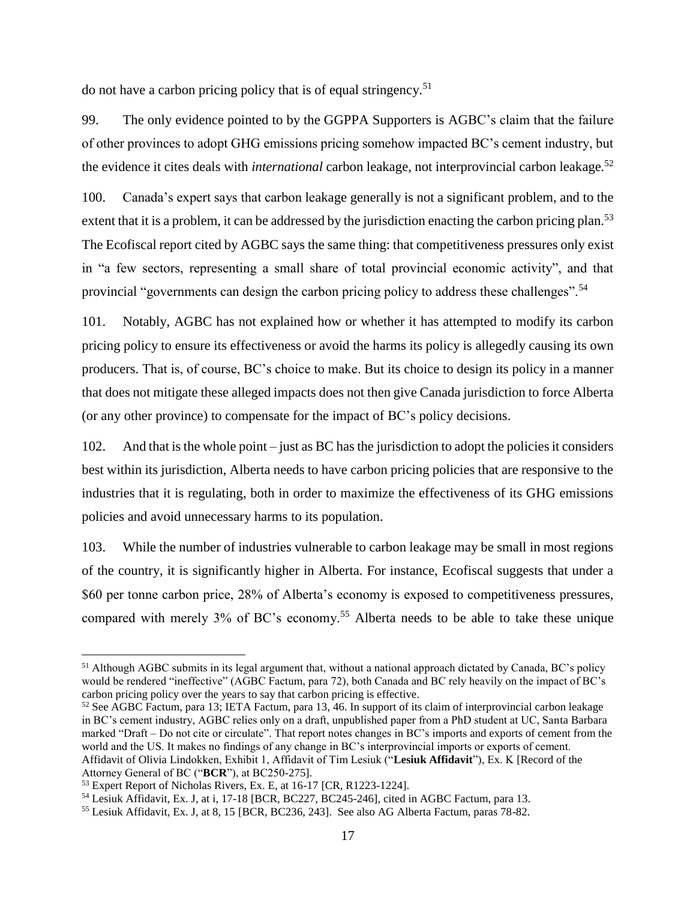do not have a carbon pricing policy that is of equal stringency.<sup>51</sup>

99. The only evidence pointed to by the GGPPA Supporters is AGBC's claim that the failure of other provinces to adopt GHG emissions pricing somehow impacted BC's cement industry, but the evidence it cites deals with *international* carbon leakage, not interprovincial carbon leakage.<sup>52</sup>

100. Canada's expert says that carbon leakage generally is not a significant problem, and to the extent that it is a problem, it can be addressed by the jurisdiction enacting the carbon pricing plan.<sup>53</sup> The Ecofiscal report cited by AGBC says the same thing: that competitiveness pressures only exist in "a few sectors, representing a small share of total provincial economic activity", and that provincial "governments can design the carbon pricing policy to address these challenges".<sup>54</sup>

101. Notably, AGBC has not explained how or whether it has attempted to modify its carbon pricing policy to ensure its effectiveness or avoid the harms its policy is allegedly causing its own producers. That is, of course, BC's choice to make. But its choice to design its policy in a manner that does not mitigate these alleged impacts does not then give Canada jurisdiction to force Alberta (or any other province) to compensate for the impact of BC's policy decisions.

102. And that is the whole point – just as BC has the jurisdiction to adopt the policies it considers best within its jurisdiction, Alberta needs to have carbon pricing policies that are responsive to the industries that it is regulating, both in order to maximize the effectiveness of its GHG emissions policies and avoid unnecessary harms to its population.

103. While the number of industries vulnerable to carbon leakage may be small in most regions of the country, it is significantly higher in Alberta. For instance, Ecofiscal suggests that under a \$60 per tonne carbon price, 28% of Alberta's economy is exposed to competitiveness pressures, compared with merely 3% of BC's economy.<sup>55</sup> Alberta needs to be able to take these unique

<sup>&</sup>lt;sup>51</sup> Although AGBC submits in its legal argument that, without a national approach dictated by Canada, BC's policy would be rendered "ineffective" (AGBC Factum, para 72), both Canada and BC rely heavily on the impact of BC's carbon pricing policy over the years to say that carbon pricing is effective.

<sup>&</sup>lt;sup>52</sup> See AGBC Factum, para 13; IETA Factum, para 13, 46. In support of its claim of interprovincial carbon leakage in BC's cement industry, AGBC relies only on a draft, unpublished paper from a PhD student at UC, Santa Barbara marked "Draft – Do not cite or circulate". That report notes changes in BC's imports and exports of cement from the world and the US. It makes no findings of any change in BC's interprovincial imports or exports of cement. Affidavit of Olivia Lindokken, Exhibit 1, Affidavit of Tim Lesiuk ("**Lesiuk Affidavit**"), Ex. K [Record of the Attorney General of BC ("**BCR**"), at BC250-275].

<sup>53</sup> Expert Report of Nicholas Rivers, Ex. E, at 16-17 [CR, R1223-1224].

<sup>54</sup> Lesiuk Affidavit, Ex. J, at i, 17-18 [BCR, BC227, BC245-246], cited in AGBC Factum, para 13.

<sup>55</sup> Lesiuk Affidavit, Ex. J, at 8, 15 [BCR, BC236, 243]. See also AG Alberta Factum, paras 78-82.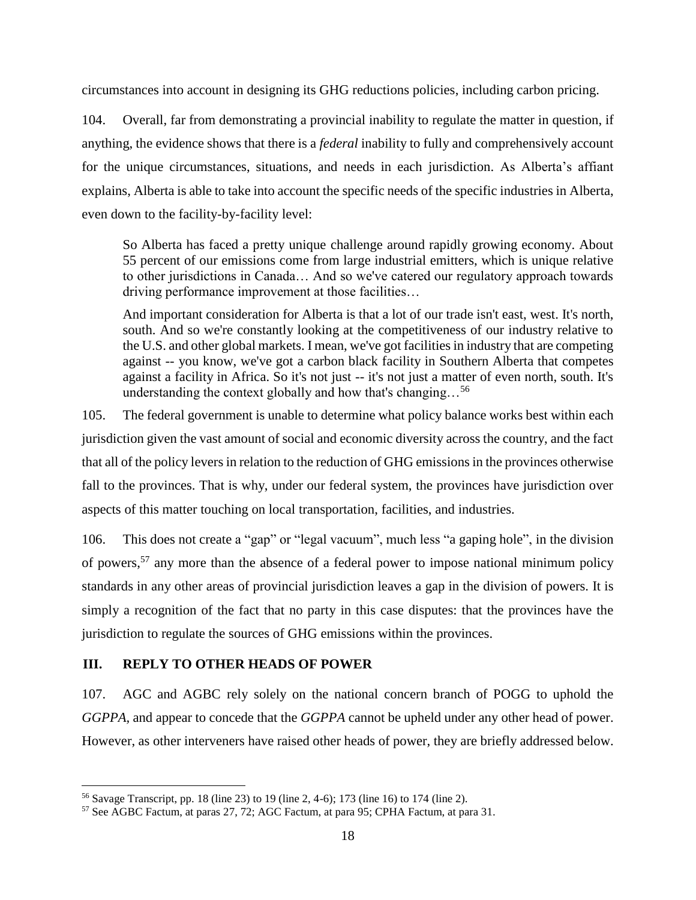circumstances into account in designing its GHG reductions policies, including carbon pricing.

104. Overall, far from demonstrating a provincial inability to regulate the matter in question, if anything, the evidence shows that there is a *federal* inability to fully and comprehensively account for the unique circumstances, situations, and needs in each jurisdiction. As Alberta's affiant explains, Alberta is able to take into account the specific needs of the specific industries in Alberta, even down to the facility-by-facility level:

So Alberta has faced a pretty unique challenge around rapidly growing economy. About 55 percent of our emissions come from large industrial emitters, which is unique relative to other jurisdictions in Canada… And so we've catered our regulatory approach towards driving performance improvement at those facilities…

And important consideration for Alberta is that a lot of our trade isn't east, west. It's north, south. And so we're constantly looking at the competitiveness of our industry relative to the U.S. and other global markets. I mean, we've got facilities in industry that are competing against -- you know, we've got a carbon black facility in Southern Alberta that competes against a facility in Africa. So it's not just -- it's not just a matter of even north, south. It's understanding the context globally and how that's changing... $^{56}$ 

105. The federal government is unable to determine what policy balance works best within each jurisdiction given the vast amount of social and economic diversity across the country, and the fact that all of the policy levers in relation to the reduction of GHG emissions in the provinces otherwise fall to the provinces. That is why, under our federal system, the provinces have jurisdiction over aspects of this matter touching on local transportation, facilities, and industries.

106. This does not create a "gap" or "legal vacuum", much less "a gaping hole", in the division of powers,  $57$  any more than the absence of a federal power to impose national minimum policy standards in any other areas of provincial jurisdiction leaves a gap in the division of powers. It is simply a recognition of the fact that no party in this case disputes: that the provinces have the jurisdiction to regulate the sources of GHG emissions within the provinces.

## **III. REPLY TO OTHER HEADS OF POWER**

 $\overline{a}$ 

107. AGC and AGBC rely solely on the national concern branch of POGG to uphold the *GGPPA,* and appear to concede that the *GGPPA* cannot be upheld under any other head of power. However, as other interveners have raised other heads of power, they are briefly addressed below.

<sup>56</sup> Savage Transcript, pp. 18 (line 23) to 19 (line 2, 4-6); 173 (line 16) to 174 (line 2).

<sup>57</sup> See AGBC Factum, at paras 27, 72; AGC Factum, at para 95; CPHA Factum, at para 31.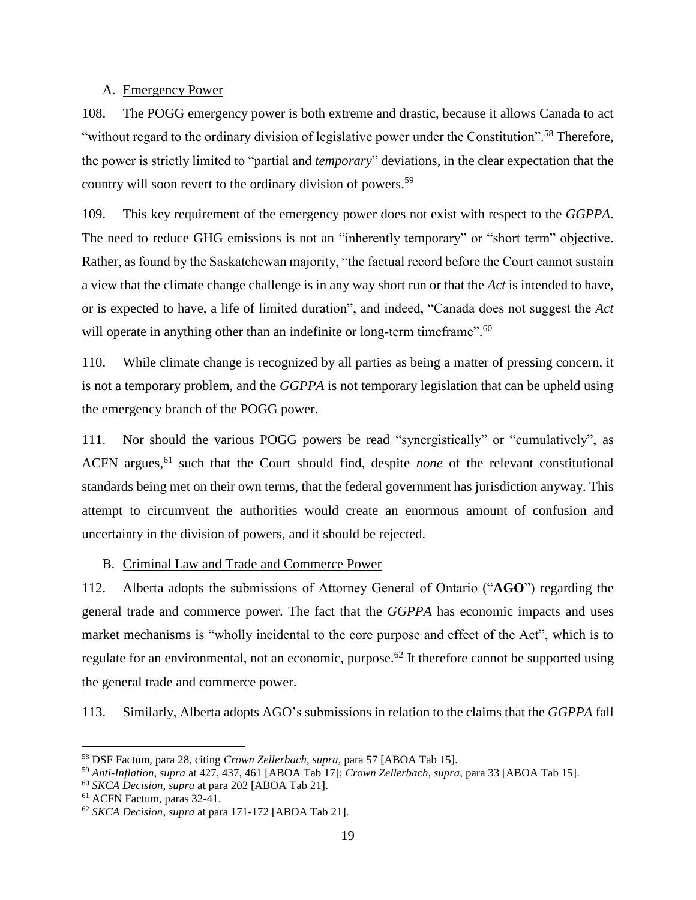### A. Emergency Power

108. The POGG emergency power is both extreme and drastic, because it allows Canada to act "without regard to the ordinary division of legislative power under the Constitution".<sup>58</sup> Therefore, the power is strictly limited to "partial and *temporary*" deviations, in the clear expectation that the country will soon revert to the ordinary division of powers.<sup>59</sup>

109. This key requirement of the emergency power does not exist with respect to the *GGPPA*. The need to reduce GHG emissions is not an "inherently temporary" or "short term" objective. Rather, as found by the Saskatchewan majority, "the factual record before the Court cannot sustain a view that the climate change challenge is in any way short run or that the *Act* is intended to have, or is expected to have, a life of limited duration", and indeed, "Canada does not suggest the *Act* will operate in anything other than an indefinite or long-term timeframe".<sup>60</sup>

110. While climate change is recognized by all parties as being a matter of pressing concern, it is not a temporary problem, and the *GGPPA* is not temporary legislation that can be upheld using the emergency branch of the POGG power.

111. Nor should the various POGG powers be read "synergistically" or "cumulatively", as ACFN argues,<sup>61</sup> such that the Court should find, despite *none* of the relevant constitutional standards being met on their own terms, that the federal government has jurisdiction anyway. This attempt to circumvent the authorities would create an enormous amount of confusion and uncertainty in the division of powers, and it should be rejected.

### B. Criminal Law and Trade and Commerce Power

112. Alberta adopts the submissions of Attorney General of Ontario ("**AGO**") regarding the general trade and commerce power. The fact that the *GGPPA* has economic impacts and uses market mechanisms is "wholly incidental to the core purpose and effect of the Act", which is to regulate for an environmental, not an economic, purpose.<sup>62</sup> It therefore cannot be supported using the general trade and commerce power.

113. Similarly, Alberta adopts AGO's submissions in relation to the claims that the *GGPPA* fall

<sup>58</sup> DSF Factum, para 28, citing *Crown Zellerbach, supra*, para 57 [ABOA Tab 15].

<sup>59</sup> *Anti-Inflation, supra* at 427, 437, 461 [ABOA Tab 17]; *Crown Zellerbach, supra,* para 33 [ABOA Tab 15].

<sup>60</sup> *SKCA Decision, supra* at para 202 [ABOA Tab 21].

<sup>61</sup> ACFN Factum, paras 32-41.

<sup>62</sup> *SKCA Decision*, *supra* at para 171-172 [ABOA Tab 21].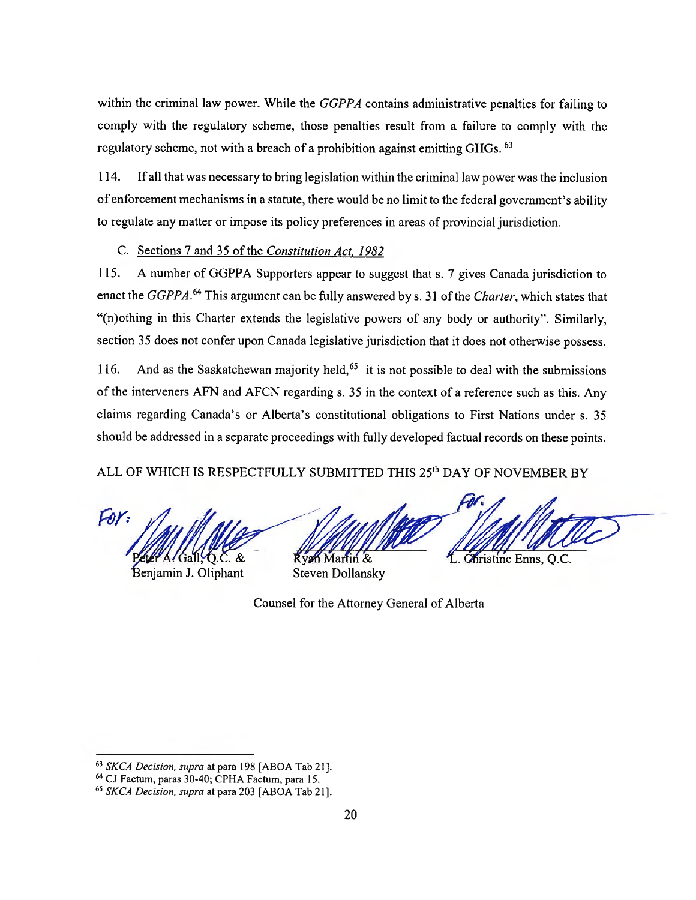within the criminal law power. While the *GGPPA* contains administrative penalties for failing to comply with the regulatory scheme, those penalties result from a failure to comply with the regulatory scheme, not with a breach of a prohibition against emitting GHGs. <sup>63</sup>

114. If all that was necessary to bring legislation within the criminal law power was the inclusion of enforcement mechanisms in a statute, there would be no limit to the federal government's ability to regulate any matter or impose its policy preferences in areas of provincial jurisdiction.

## C. Sections 7 and 35 of the Constitution Act, 1982

 $115.$ A number of GGPPA Supporters appear to suggest that s. 7 gives Canada jurisdiction to enact the GGPPA.<sup>64</sup> This argument can be fully answered by s. 31 of the Charter, which states that "(n) othing in this Charter extends the legislative powers of any body or authority". Similarly, section 35 does not confer upon Canada legislative jurisdiction that it does not otherwise possess.

And as the Saskatchewan majority held,<sup>65</sup> it is not possible to deal with the submissions 116. of the interveners AFN and AFCN regarding s. 35 in the context of a reference such as this. Any claims regarding Canada's or Alberta's constitutional obligations to First Nations under s. 35 should be addressed in a separate proceedings with fully developed factual records on these points.

## ALL OF WHICH IS RESPECTFULLY SUBMITTED THIS 25<sup>th</sup> DAY OF NOVEMBER BY

 $For:$  $\&$ 

Benjamin J. Oliphant

L. Christine Enns. O.C Martin &

Steven Dollansky

Counsel for the Attorney General of Alberta

<sup>&</sup>lt;sup>63</sup> SKCA Decision, supra at para 198 [ABOA Tab 21].

<sup>&</sup>lt;sup>64</sup> CJ Factum, paras 30-40; CPHA Factum, para 15.

<sup>&</sup>lt;sup>65</sup> SKCA Decision, supra at para 203 [ABOA Tab 21].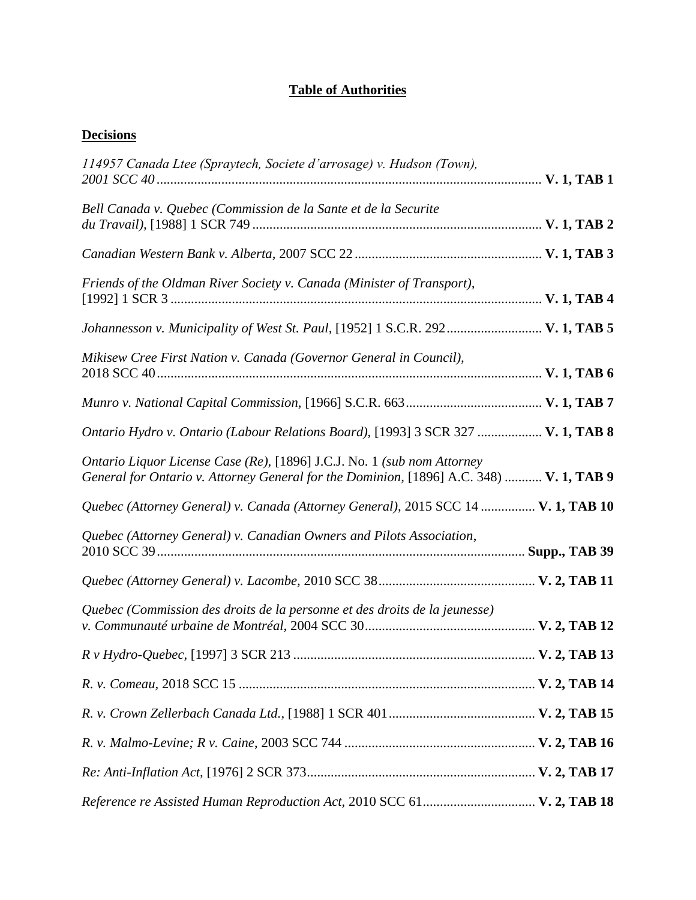# **Table of Authorities**

# **Decisions**

| 114957 Canada Ltee (Spraytech, Societe d'arrosage) v. Hudson (Town),                                                                                               |  |
|--------------------------------------------------------------------------------------------------------------------------------------------------------------------|--|
| Bell Canada v. Quebec (Commission de la Sante et de la Securite                                                                                                    |  |
|                                                                                                                                                                    |  |
| Friends of the Oldman River Society v. Canada (Minister of Transport),                                                                                             |  |
| Johannesson v. Municipality of West St. Paul, [1952] 1 S.C.R. 292 V. 1, TAB 5                                                                                      |  |
| Mikisew Cree First Nation v. Canada (Governor General in Council),                                                                                                 |  |
|                                                                                                                                                                    |  |
| Ontario Hydro v. Ontario (Labour Relations Board), [1993] 3 SCR 327  V. 1, TAB 8                                                                                   |  |
| Ontario Liquor License Case (Re), [1896] J.C.J. No. 1 (sub nom Attorney<br>General for Ontario v. Attorney General for the Dominion, [1896] A.C. 348)  V. 1, TAB 9 |  |
|                                                                                                                                                                    |  |
| Quebec (Attorney General) v. Canada (Attorney General), 2015 SCC 14  V. 1, TAB 10                                                                                  |  |
| Quebec (Attorney General) v. Canadian Owners and Pilots Association,                                                                                               |  |
|                                                                                                                                                                    |  |
| Quebec (Commission des droits de la personne et des droits de la jeunesse)                                                                                         |  |
|                                                                                                                                                                    |  |
|                                                                                                                                                                    |  |
|                                                                                                                                                                    |  |
|                                                                                                                                                                    |  |
|                                                                                                                                                                    |  |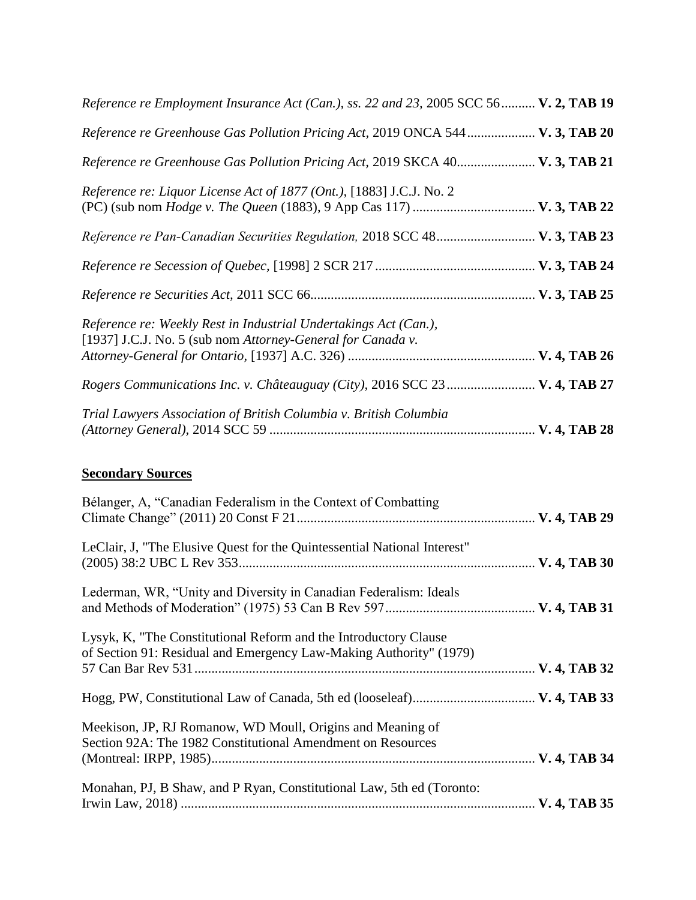| Reference re Employment Insurance Act (Can.), ss. 22 and 23, 2005 SCC 56 V. 2, TAB 19                                                                                                                          |  |
|----------------------------------------------------------------------------------------------------------------------------------------------------------------------------------------------------------------|--|
| Reference re Greenhouse Gas Pollution Pricing Act, 2019 ONCA 544 V. 3, TAB 20                                                                                                                                  |  |
| Reference re Greenhouse Gas Pollution Pricing Act, 2019 SKCA 40 V. 3, TAB 21                                                                                                                                   |  |
| Reference re: Liquor License Act of 1877 (Ont.), [1883] J.C.J. No. 2                                                                                                                                           |  |
| Reference re Pan-Canadian Securities Regulation, 2018 SCC 48 V. 3, TAB 23                                                                                                                                      |  |
|                                                                                                                                                                                                                |  |
|                                                                                                                                                                                                                |  |
| Reference re: Weekly Rest in Industrial Undertakings Act (Can.),<br>[1937] J.C.J. No. 5 (sub nom Attorney-General for Canada v.<br>Rogers Communications Inc. v. Châteauguay (City), 2016 SCC 23  V. 4, TAB 27 |  |
| Trial Lawyers Association of British Columbia v. British Columbia                                                                                                                                              |  |
| <b>Secondary Sources</b>                                                                                                                                                                                       |  |
| Bélanger, A, "Canadian Federalism in the Context of Combatting                                                                                                                                                 |  |
| LeClair, J, "The Elusive Quest for the Quintessential National Interest"                                                                                                                                       |  |
| Lederman, WR, "Unity and Diversity in Canadian Federalism: Ideals                                                                                                                                              |  |
| Lysyk, K, "The Constitutional Reform and the Introductory Clause                                                                                                                                               |  |

| Meekison, JP, RJ Romanow, WD Moull, Origins and Meaning of |  |
|------------------------------------------------------------|--|

of Section 91: Residual and Emergency Law-Making Authority" (1979)

| $m_{\rm U}$ and $n_{\rm V}$ , in Nomanow, $m_{\rm U}$ inoun, Origins and incannized |  |
|-------------------------------------------------------------------------------------|--|
| Section 92A: The 1982 Constitutional Amendment on Resources                         |  |
|                                                                                     |  |
|                                                                                     |  |
| Monahan, PJ, B Shaw, and P Ryan, Constitutional Law, 5th ed (Toronto:               |  |
|                                                                                     |  |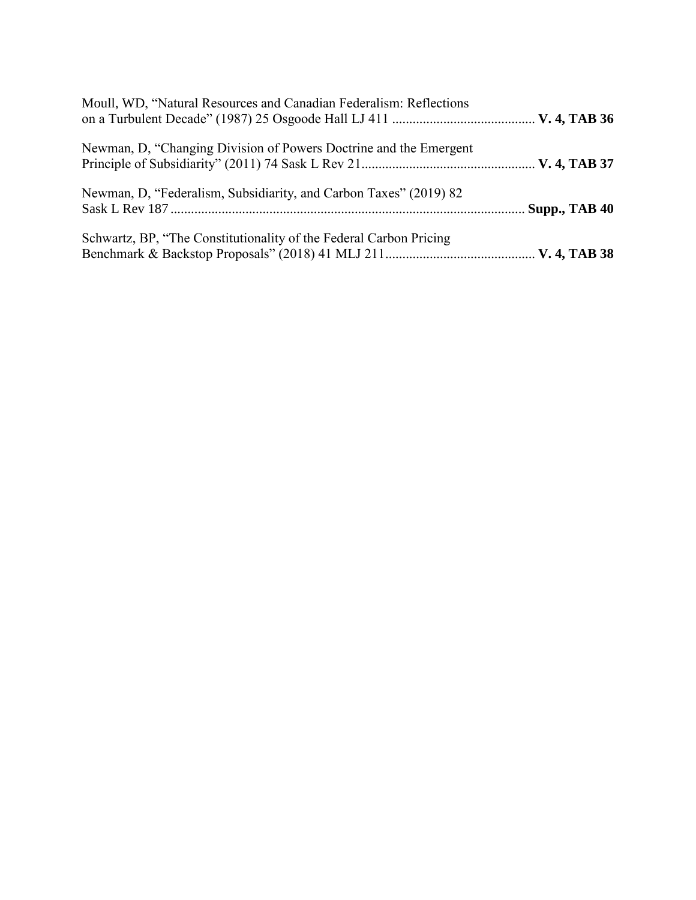| Moull, WD, "Natural Resources and Canadian Federalism: Reflections |  |
|--------------------------------------------------------------------|--|
| Newman, D, "Changing Division of Powers Doctrine and the Emergent  |  |
| Newman, D, "Federalism, Subsidiarity, and Carbon Taxes" (2019) 82  |  |
| Schwartz, BP, "The Constitutionality of the Federal Carbon Pricing |  |